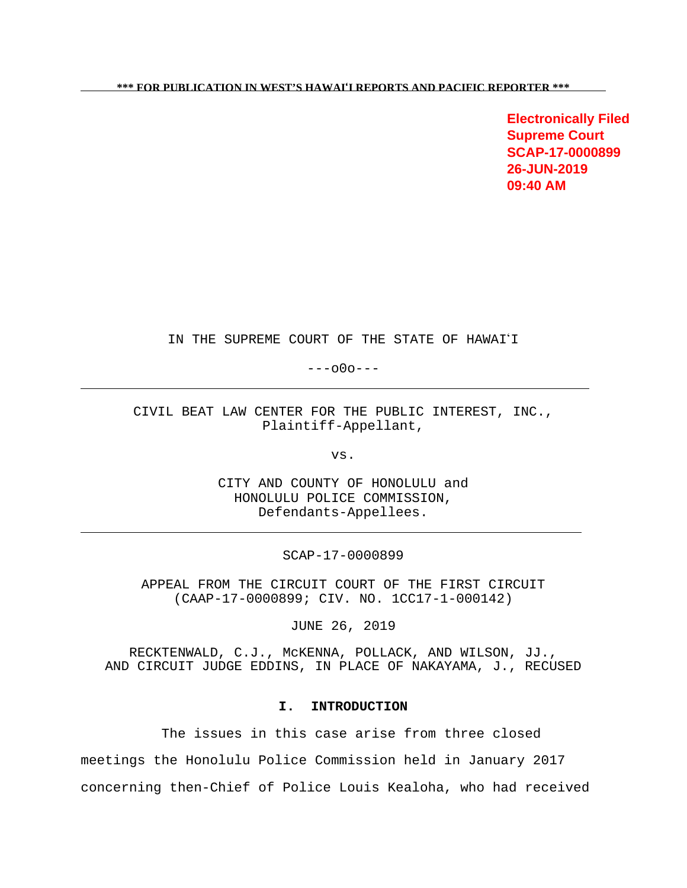**Electronically Filed Supreme Court SCAP-17-0000899 26-JUN-2019 09:40 AM**

IN THE SUPREME COURT OF THE STATE OF HAWAI'I

---o0o---

CIVIL BEAT LAW CENTER FOR THE PUBLIC INTEREST, INC., Plaintiff-Appellant,

vs.

CITY AND COUNTY OF HONOLULU and HONOLULU POLICE COMMISSION, Defendants-Appellees.

SCAP-17-0000899

APPEAL FROM THE CIRCUIT COURT OF THE FIRST CIRCUIT (CAAP-17-0000899; CIV. NO. 1CC17-1-000142)

JUNE 26, 2019

RECKTENWALD, C.J., McKENNA, POLLACK, AND WILSON, JJ., AND CIRCUIT JUDGE EDDINS, IN PLACE OF NAKAYAMA, J., RECUSED

## **I. INTRODUCTION**

The issues in this case arise from three closed meetings the Honolulu Police Commission held in January 2017 concerning then-Chief of Police Louis Kealoha, who had received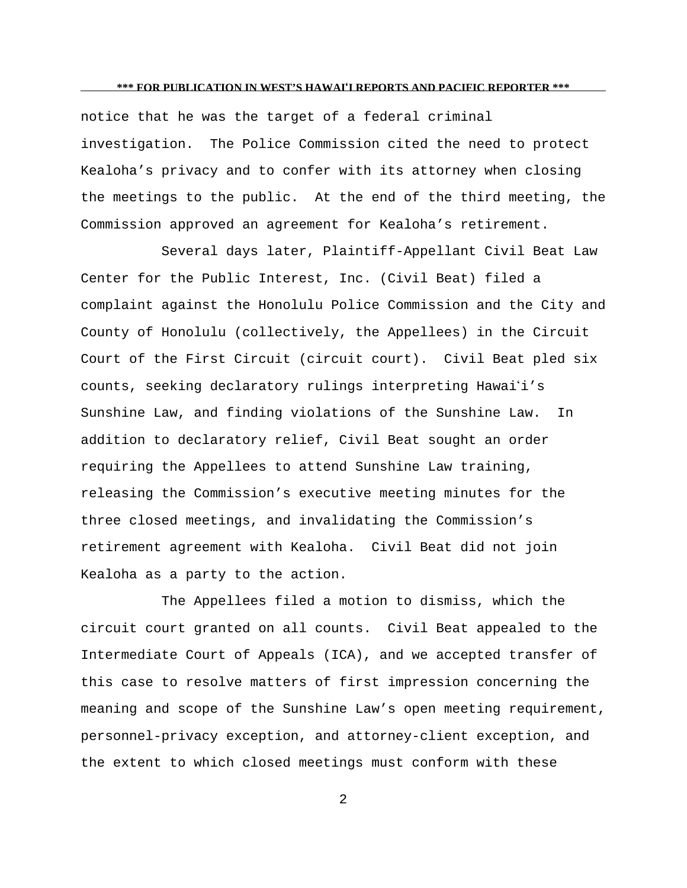notice that he was the target of a federal criminal investigation. The Police Commission cited the need to protect Kealoha's privacy and to confer with its attorney when closing the meetings to the public. At the end of the third meeting, the Commission approved an agreement for Kealoha's retirement.

Several days later, Plaintiff-Appellant Civil Beat Law Center for the Public Interest, Inc. (Civil Beat) filed a complaint against the Honolulu Police Commission and the City and County of Honolulu (collectively, the Appellees) in the Circuit Court of the First Circuit (circuit court). Civil Beat pled six counts, seeking declaratory rulings interpreting Hawai'i's Sunshine Law, and finding violations of the Sunshine Law. In addition to declaratory relief, Civil Beat sought an order requiring the Appellees to attend Sunshine Law training, releasing the Commission's executive meeting minutes for the three closed meetings, and invalidating the Commission's retirement agreement with Kealoha. Civil Beat did not join Kealoha as a party to the action.

The Appellees filed a motion to dismiss, which the circuit court granted on all counts. Civil Beat appealed to the Intermediate Court of Appeals (ICA), and we accepted transfer of this case to resolve matters of first impression concerning the meaning and scope of the Sunshine Law's open meeting requirement, personnel-privacy exception, and attorney-client exception, and the extent to which closed meetings must conform with these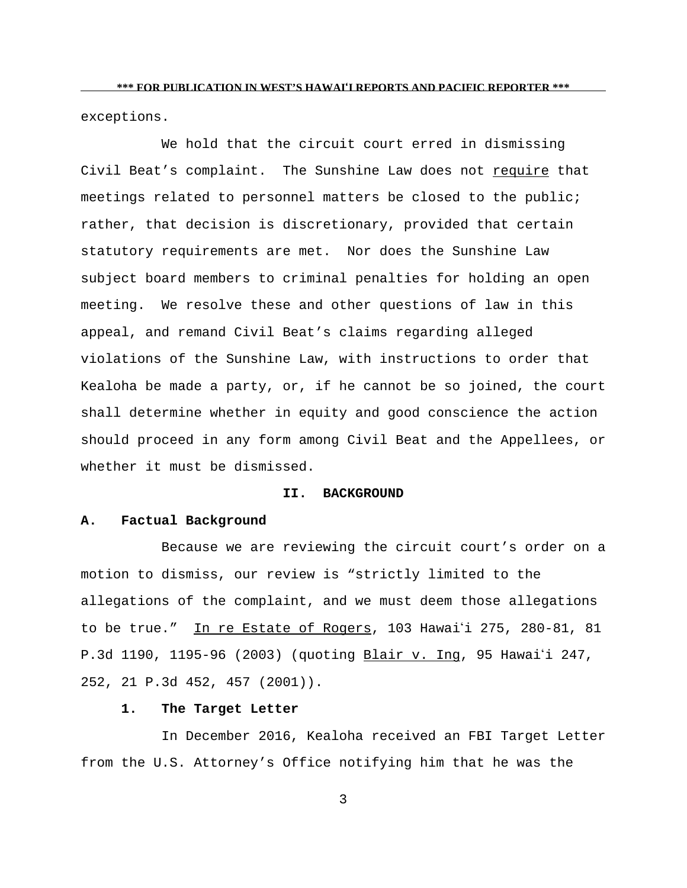exceptions.

We hold that the circuit court erred in dismissing Civil Beat's complaint. The Sunshine Law does not require that meetings related to personnel matters be closed to the public; rather, that decision is discretionary, provided that certain statutory requirements are met. Nor does the Sunshine Law subject board members to criminal penalties for holding an open meeting. We resolve these and other questions of law in this appeal, and remand Civil Beat's claims regarding alleged violations of the Sunshine Law, with instructions to order that Kealoha be made a party, or, if he cannot be so joined, the court shall determine whether in equity and good conscience the action should proceed in any form among Civil Beat and the Appellees, or whether it must be dismissed.

### **II. BACKGROUND**

### **A. Factual Background**

Because we are reviewing the circuit court's order on a motion to dismiss, our review is "strictly limited to the allegations of the complaint, and we must deem those allegations to be true." In re Estate of Rogers, 103 Hawai'i 275, 280-81, 81 P.3d 1190, 1195-96 (2003) (quoting Blair v. Ing, 95 Hawai'i 247, 252, 21 P.3d 452, 457 (2001)).

# **1. The Target Letter**

In December 2016, Kealoha received an FBI Target Letter from the U.S. Attorney's Office notifying him that he was the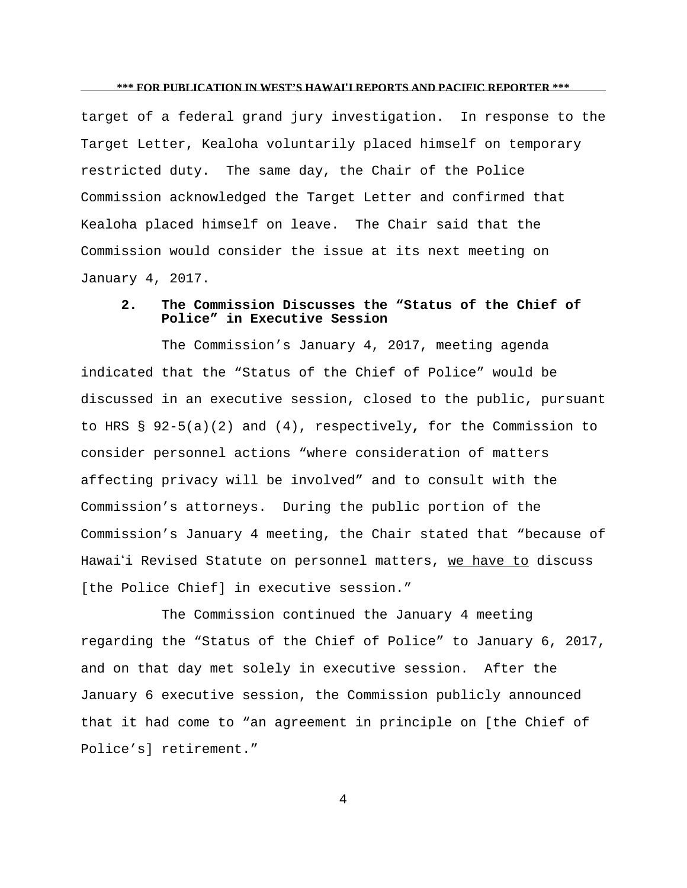target of a federal grand jury investigation. In response to the Target Letter, Kealoha voluntarily placed himself on temporary restricted duty. The same day, the Chair of the Police Commission acknowledged the Target Letter and confirmed that Kealoha placed himself on leave. The Chair said that the Commission would consider the issue at its next meeting on January 4, 2017.

# **2. The Commission Discusses the "Status of the Chief of Police" in Executive Session**

The Commission's January 4, 2017, meeting agenda indicated that the "Status of the Chief of Police" would be discussed in an executive session, closed to the public, pursuant to HRS § 92-5(a)(2) and (4), respectively**,** for the Commission to consider personnel actions "where consideration of matters affecting privacy will be involved" and to consult with the Commission's attorneys. During the public portion of the Commission's January 4 meeting, the Chair stated that "because of Hawai'i Revised Statute on personnel matters, we have to discuss [the Police Chief] in executive session."

The Commission continued the January 4 meeting regarding the "Status of the Chief of Police" to January 6, 2017, and on that day met solely in executive session. After the January 6 executive session, the Commission publicly announced that it had come to "an agreement in principle on [the Chief of Police's] retirement."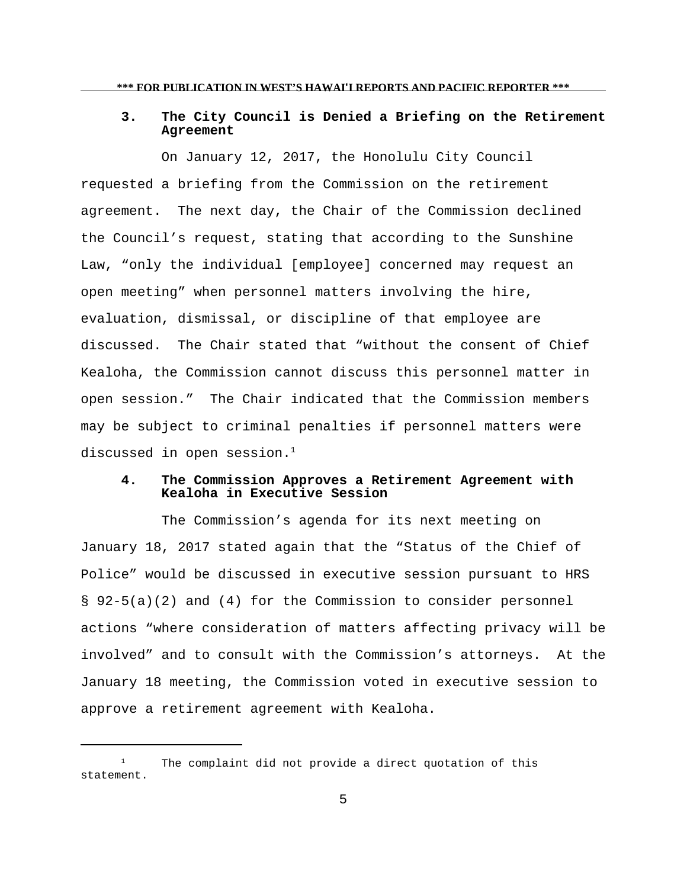# **3. The City Council is Denied a Briefing on the Retirement Agreement**

On January 12, 2017, the Honolulu City Council requested a briefing from the Commission on the retirement agreement. The next day, the Chair of the Commission declined the Council's request, stating that according to the Sunshine Law, "only the individual [employee] concerned may request an open meeting" when personnel matters involving the hire, evaluation, dismissal, or discipline of that employee are discussed. The Chair stated that "without the consent of Chief Kealoha, the Commission cannot discuss this personnel matter in open session." The Chair indicated that the Commission members may be subject to criminal penalties if personnel matters were discussed in open session. $1$ 

# **4. The Commission Approves a Retirement Agreement with Kealoha in Executive Session**

The Commission's agenda for its next meeting on January 18, 2017 stated again that the "Status of the Chief of Police" would be discussed in executive session pursuant to HRS § 92-5(a)(2) and (4) for the Commission to consider personnel actions "where consideration of matters affecting privacy will be involved" and to consult with the Commission's attorneys. At the January 18 meeting, the Commission voted in executive session to approve a retirement agreement with Kealoha.

 $1$  The complaint did not provide a direct quotation of this statement.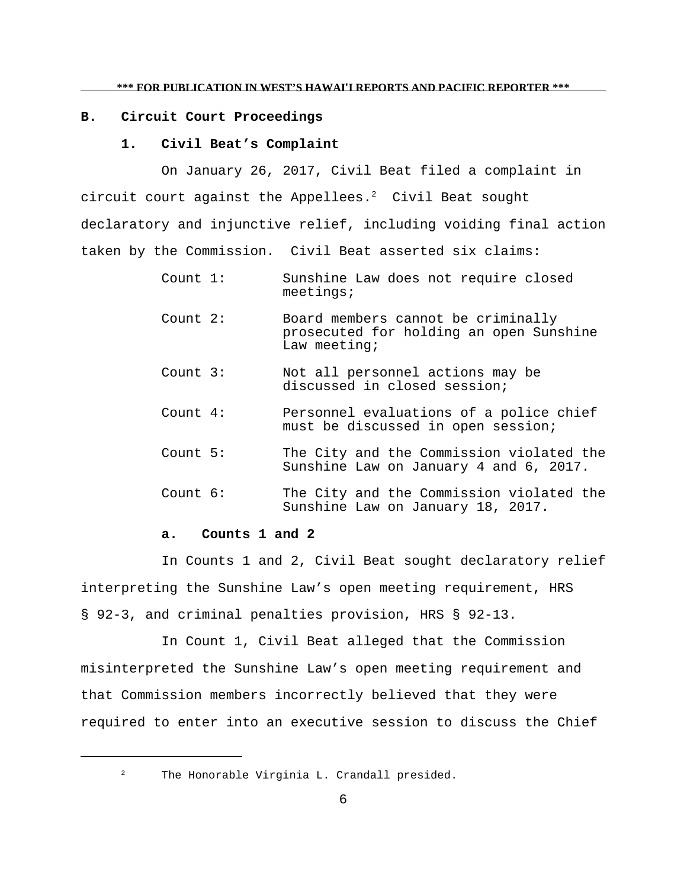## **B. Circuit Court Proceedings**

### **1. Civil Beat's Complaint**

On January 26, 2017, Civil Beat filed a complaint in circuit court against the Appellees. $2$  Civil Beat sought declaratory and injunctive relief, including voiding final action taken by the Commission. Civil Beat asserted six claims:

- Count 1: Sunshine Law does not require closed meetings;
- Count 2: Board members cannot be criminally prosecuted for holding an open Sunshine Law meeting;
- Count 3: Not all personnel actions may be discussed in closed session;
- Count 4: Personnel evaluations of a police chief must be discussed in open session;
- Count 5: The City and the Commission violated the Sunshine Law on January 4 and 6, 2017.
- Count 6: The City and the Commission violated the Sunshine Law on January 18, 2017.

### **a. Counts 1 and 2**

In Counts 1 and 2, Civil Beat sought declaratory relief interpreting the Sunshine Law's open meeting requirement, HRS § 92-3, and criminal penalties provision, HRS § 92-13.

In Count 1, Civil Beat alleged that the Commission misinterpreted the Sunshine Law's open meeting requirement and that Commission members incorrectly believed that they were required to enter into an executive session to discuss the Chief

<sup>&</sup>lt;sup>2</sup> The Honorable Virginia L. Crandall presided.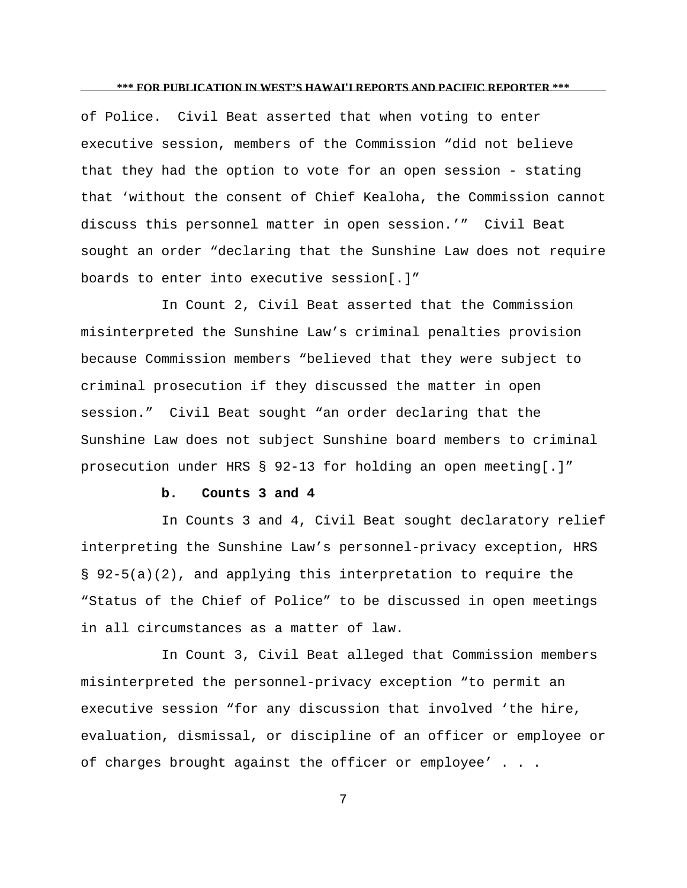of Police. Civil Beat asserted that when voting to enter executive session, members of the Commission "did not believe that they had the option to vote for an open session - stating that 'without the consent of Chief Kealoha, the Commission cannot discuss this personnel matter in open session.'" Civil Beat sought an order "declaring that the Sunshine Law does not require boards to enter into executive session[.]"

In Count 2, Civil Beat asserted that the Commission misinterpreted the Sunshine Law's criminal penalties provision because Commission members "believed that they were subject to criminal prosecution if they discussed the matter in open session." Civil Beat sought "an order declaring that the Sunshine Law does not subject Sunshine board members to criminal prosecution under HRS § 92-13 for holding an open meeting[.]"

### **b. Counts 3 and 4**

In Counts 3 and 4, Civil Beat sought declaratory relief interpreting the Sunshine Law's personnel-privacy exception, HRS § 92-5(a)(2), and applying this interpretation to require the "Status of the Chief of Police" to be discussed in open meetings in all circumstances as a matter of law.

In Count 3, Civil Beat alleged that Commission members misinterpreted the personnel-privacy exception "to permit an executive session "for any discussion that involved 'the hire, evaluation, dismissal, or discipline of an officer or employee or of charges brought against the officer or employee' . . .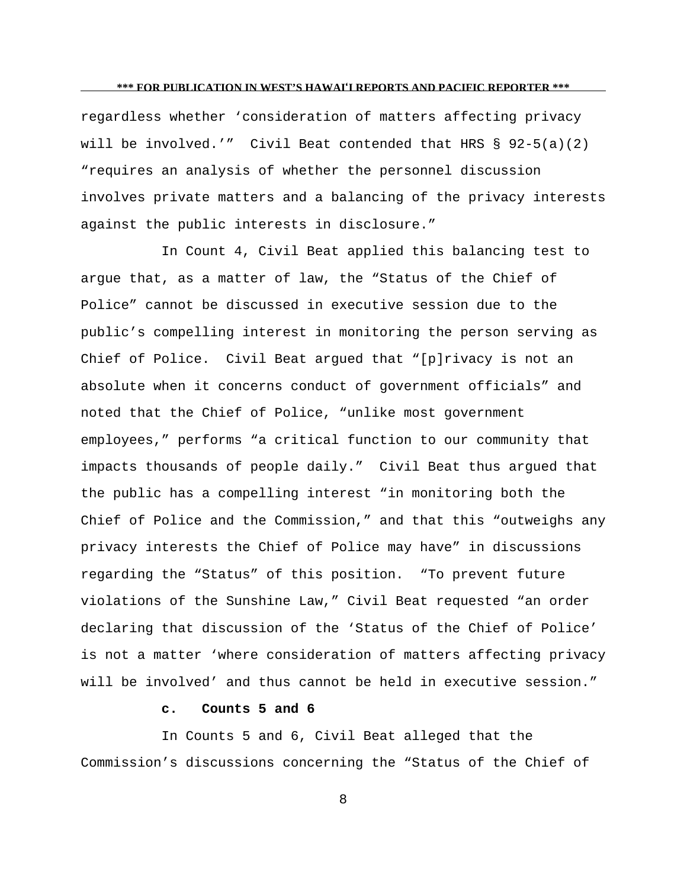regardless whether 'consideration of matters affecting privacy will be involved.'" Civil Beat contended that HRS § 92-5(a)(2) "requires an analysis of whether the personnel discussion involves private matters and a balancing of the privacy interests against the public interests in disclosure."

In Count 4, Civil Beat applied this balancing test to argue that, as a matter of law, the "Status of the Chief of Police" cannot be discussed in executive session due to the public's compelling interest in monitoring the person serving as Chief of Police. Civil Beat argued that "[p]rivacy is not an absolute when it concerns conduct of government officials" and noted that the Chief of Police, "unlike most government employees," performs "a critical function to our community that impacts thousands of people daily." Civil Beat thus argued that the public has a compelling interest "in monitoring both the Chief of Police and the Commission," and that this "outweighs any privacy interests the Chief of Police may have" in discussions regarding the "Status" of this position. "To prevent future violations of the Sunshine Law," Civil Beat requested "an order declaring that discussion of the 'Status of the Chief of Police' is not a matter 'where consideration of matters affecting privacy will be involved' and thus cannot be held in executive session."

# **c. Counts 5 and 6**

In Counts 5 and 6, Civil Beat alleged that the Commission's discussions concerning the "Status of the Chief of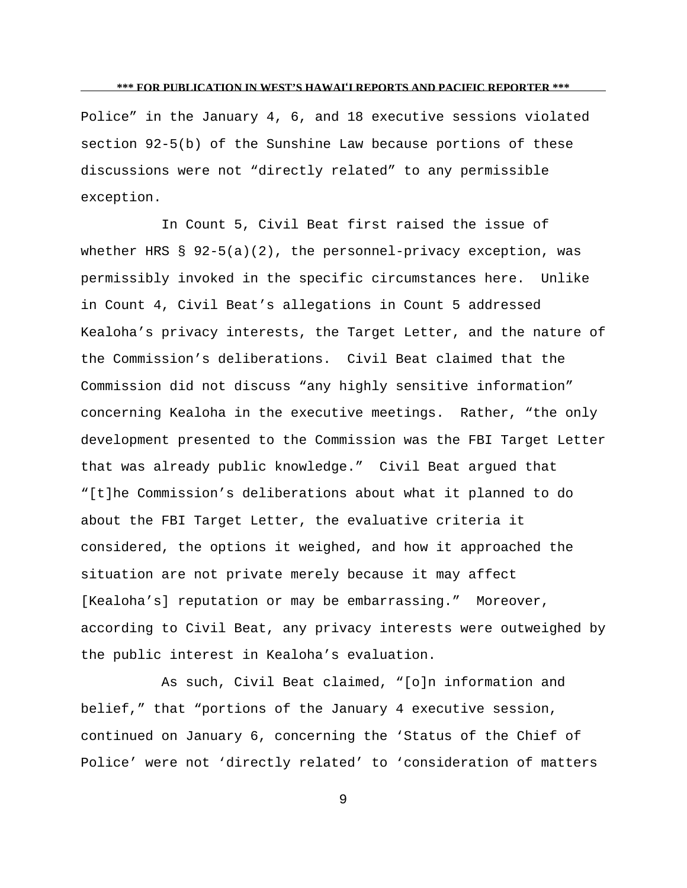Police" in the January 4, 6, and 18 executive sessions violated section 92-5(b) of the Sunshine Law because portions of these discussions were not "directly related" to any permissible exception.

In Count 5, Civil Beat first raised the issue of whether HRS  $\S$  92-5(a)(2), the personnel-privacy exception, was permissibly invoked in the specific circumstances here. Unlike in Count 4, Civil Beat's allegations in Count 5 addressed Kealoha's privacy interests, the Target Letter, and the nature of the Commission's deliberations. Civil Beat claimed that the Commission did not discuss "any highly sensitive information" concerning Kealoha in the executive meetings. Rather, "the only development presented to the Commission was the FBI Target Letter that was already public knowledge." Civil Beat argued that "[t]he Commission's deliberations about what it planned to do about the FBI Target Letter, the evaluative criteria it considered, the options it weighed, and how it approached the situation are not private merely because it may affect [Kealoha's] reputation or may be embarrassing." Moreover, according to Civil Beat, any privacy interests were outweighed by the public interest in Kealoha's evaluation.

As such, Civil Beat claimed, "[o]n information and belief," that "portions of the January 4 executive session, continued on January 6, concerning the 'Status of the Chief of Police' were not 'directly related' to 'consideration of matters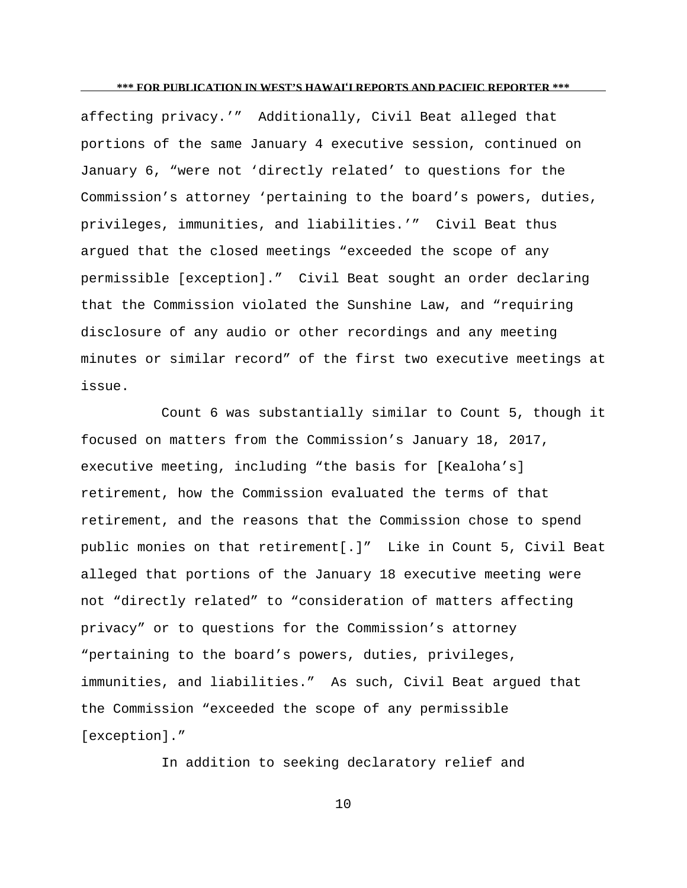affecting privacy.'" Additionally, Civil Beat alleged that portions of the same January 4 executive session, continued on January 6, "were not 'directly related' to questions for the Commission's attorney 'pertaining to the board's powers, duties, privileges, immunities, and liabilities.'" Civil Beat thus argued that the closed meetings "exceeded the scope of any permissible [exception]." Civil Beat sought an order declaring that the Commission violated the Sunshine Law, and "requiring disclosure of any audio or other recordings and any meeting minutes or similar record" of the first two executive meetings at issue.

Count 6 was substantially similar to Count 5, though it focused on matters from the Commission's January 18, 2017, executive meeting, including "the basis for [Kealoha's] retirement, how the Commission evaluated the terms of that retirement, and the reasons that the Commission chose to spend public monies on that retirement[.]" Like in Count 5, Civil Beat alleged that portions of the January 18 executive meeting were not "directly related" to "consideration of matters affecting privacy" or to questions for the Commission's attorney "pertaining to the board's powers, duties, privileges, immunities, and liabilities." As such, Civil Beat argued that the Commission "exceeded the scope of any permissible [exception]."

In addition to seeking declaratory relief and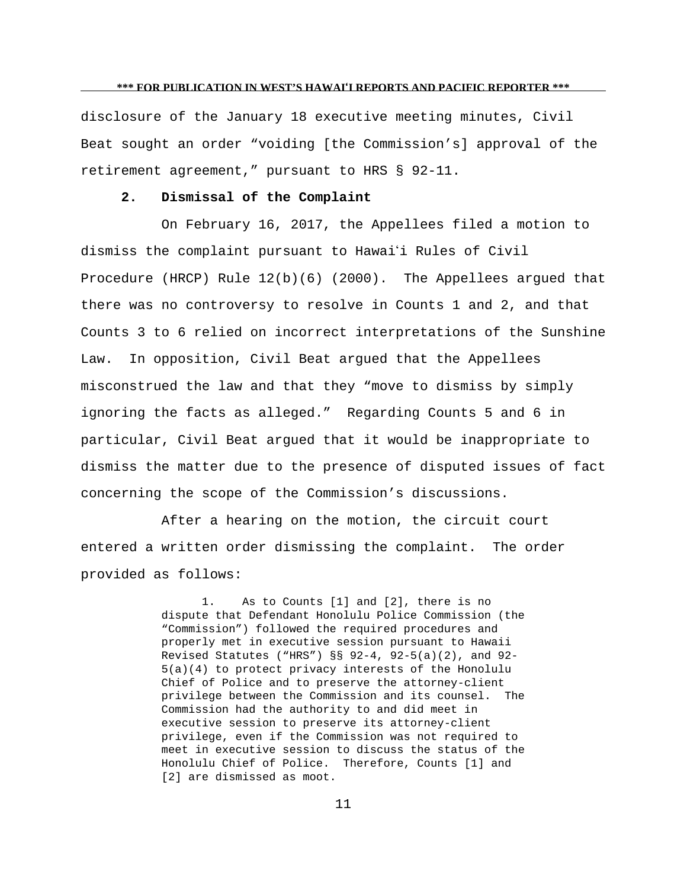disclosure of the January 18 executive meeting minutes, Civil Beat sought an order "voiding [the Commission's] approval of the retirement agreement," pursuant to HRS § 92-11.

# **2. Dismissal of the Complaint**

On February 16, 2017, the Appellees filed a motion to dismiss the complaint pursuant to Hawai'i Rules of Civil Procedure (HRCP) Rule 12(b)(6) (2000). The Appellees argued that there was no controversy to resolve in Counts 1 and 2, and that Counts 3 to 6 relied on incorrect interpretations of the Sunshine Law. In opposition, Civil Beat argued that the Appellees misconstrued the law and that they "move to dismiss by simply ignoring the facts as alleged." Regarding Counts 5 and 6 in particular, Civil Beat argued that it would be inappropriate to dismiss the matter due to the presence of disputed issues of fact concerning the scope of the Commission's discussions.

After a hearing on the motion, the circuit court entered a written order dismissing the complaint. The order provided as follows:

> 1. As to Counts [1] and [2], there is no dispute that Defendant Honolulu Police Commission (the "Commission") followed the required procedures and properly met in executive session pursuant to Hawaii Revised Statutes ("HRS") §§ 92-4, 92-5(a)(2), and 92- 5(a)(4) to protect privacy interests of the Honolulu Chief of Police and to preserve the attorney-client privilege between the Commission and its counsel. The Commission had the authority to and did meet in executive session to preserve its attorney-client privilege, even if the Commission was not required to meet in executive session to discuss the status of the Honolulu Chief of Police. Therefore, Counts [1] and [2] are dismissed as moot.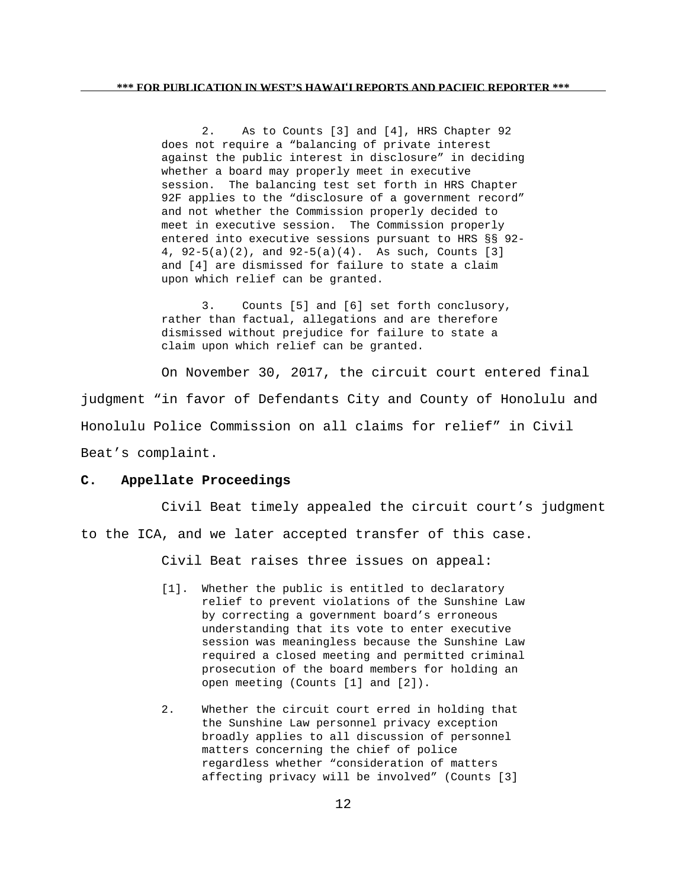2. As to Counts [3] and [4], HRS Chapter 92 does not require a "balancing of private interest against the public interest in disclosure" in deciding whether a board may properly meet in executive session. The balancing test set forth in HRS Chapter 92F applies to the "disclosure of a government record" and not whether the Commission properly decided to meet in executive session. The Commission properly entered into executive sessions pursuant to HRS §§ 92- 4, 92-5(a)(2), and 92-5(a)(4). As such, Counts [3] and [4] are dismissed for failure to state a claim upon which relief can be granted.

3. Counts [5] and [6] set forth conclusory, rather than factual, allegations and are therefore dismissed without prejudice for failure to state a claim upon which relief can be granted.

On November 30, 2017, the circuit court entered final judgment "in favor of Defendants City and County of Honolulu and Honolulu Police Commission on all claims for relief" in Civil Beat's complaint.

## **C. Appellate Proceedings**

Civil Beat timely appealed the circuit court's judgment to the ICA, and we later accepted transfer of this case.

Civil Beat raises three issues on appeal:

- [1]. Whether the public is entitled to declaratory relief to prevent violations of the Sunshine Law by correcting a government board's erroneous understanding that its vote to enter executive session was meaningless because the Sunshine Law required a closed meeting and permitted criminal prosecution of the board members for holding an open meeting (Counts [1] and [2]).
- 2. Whether the circuit court erred in holding that the Sunshine Law personnel privacy exception broadly applies to all discussion of personnel matters concerning the chief of police regardless whether "consideration of matters affecting privacy will be involved" (Counts [3]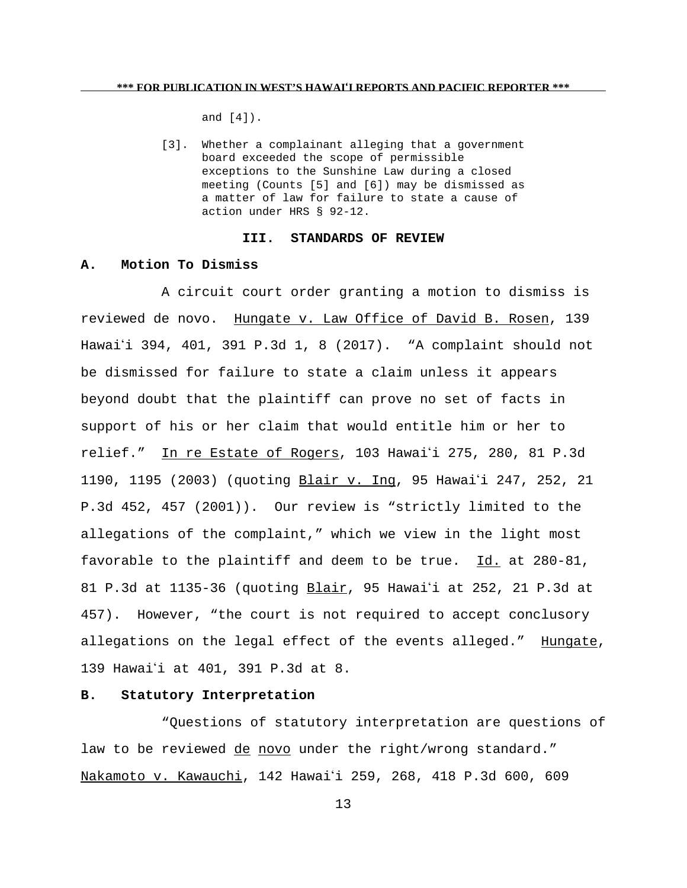and [4]).

[3]. Whether a complainant alleging that a government board exceeded the scope of permissible exceptions to the Sunshine Law during a closed meeting (Counts [5] and [6]) may be dismissed as a matter of law for failure to state a cause of action under HRS § 92-12.

#### **III. STANDARDS OF REVIEW**

## **A. Motion To Dismiss**

A circuit court order granting a motion to dismiss is reviewed de novo. Hungate v. Law Office of David B. Rosen, 139 Hawai'i 394, 401, 391 P.3d 1, 8 (2017). "A complaint should not be dismissed for failure to state a claim unless it appears beyond doubt that the plaintiff can prove no set of facts in support of his or her claim that would entitle him or her to relief." In re Estate of Rogers, 103 Hawai'i 275, 280, 81 P.3d 1190, 1195 (2003) (quoting Blair v. Ing, 95 Hawai'i 247, 252, 21 P.3d 452, 457 (2001)). Our review is "strictly limited to the allegations of the complaint," which we view in the light most favorable to the plaintiff and deem to be true.  $Id.$  at 280-81, 81 P.3d at 1135-36 (quoting Blair, 95 Hawaii at 252, 21 P.3d at 457). However, "the court is not required to accept conclusory allegations on the legal effect of the events alleged." Hungate, 139 Hawaii at 401, 391 P.3d at 8.

## **B. Statutory Interpretation**

"Questions of statutory interpretation are questions of law to be reviewed de novo under the right/wrong standard." Nakamoto v. Kawauchi, 142 Hawai'i 259, 268, 418 P.3d 600, 609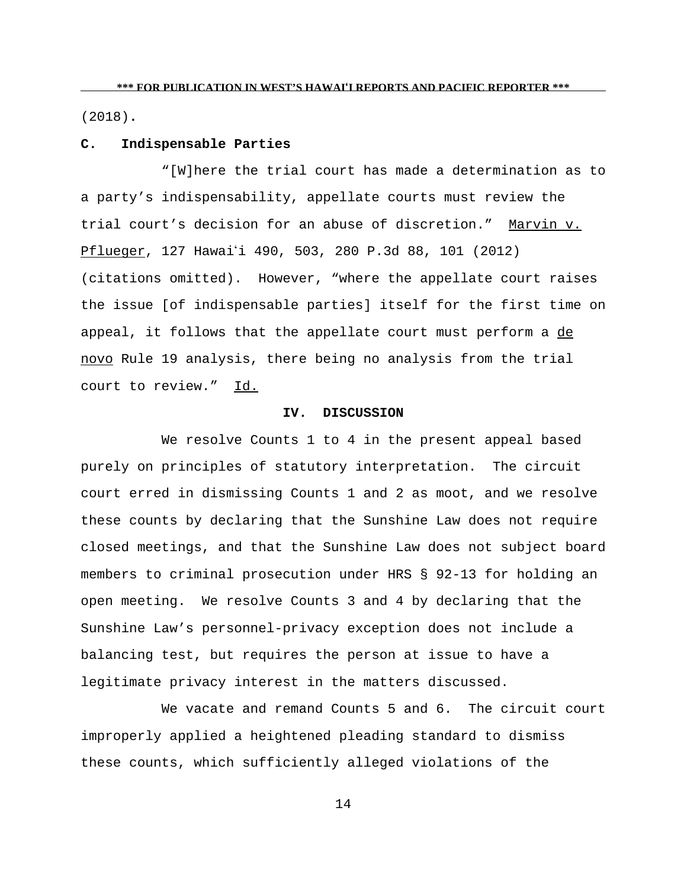(2018)**.**

## **C. Indispensable Parties**

"[W]here the trial court has made a determination as to a party's indispensability, appellate courts must review the trial court's decision for an abuse of discretion." Marvin v. Pflueger, 127 Hawai'i 490, 503, 280 P.3d 88, 101 (2012) (citations omitted). However, "where the appellate court raises the issue [of indispensable parties] itself for the first time on appeal, it follows that the appellate court must perform a de novo Rule 19 analysis, there being no analysis from the trial court to review." Id.

# **IV. DISCUSSION**

We resolve Counts 1 to 4 in the present appeal based purely on principles of statutory interpretation. The circuit court erred in dismissing Counts 1 and 2 as moot, and we resolve these counts by declaring that the Sunshine Law does not require closed meetings, and that the Sunshine Law does not subject board members to criminal prosecution under HRS § 92-13 for holding an open meeting. We resolve Counts 3 and 4 by declaring that the Sunshine Law's personnel-privacy exception does not include a balancing test, but requires the person at issue to have a legitimate privacy interest in the matters discussed.

We vacate and remand Counts 5 and 6. The circuit court improperly applied a heightened pleading standard to dismiss these counts, which sufficiently alleged violations of the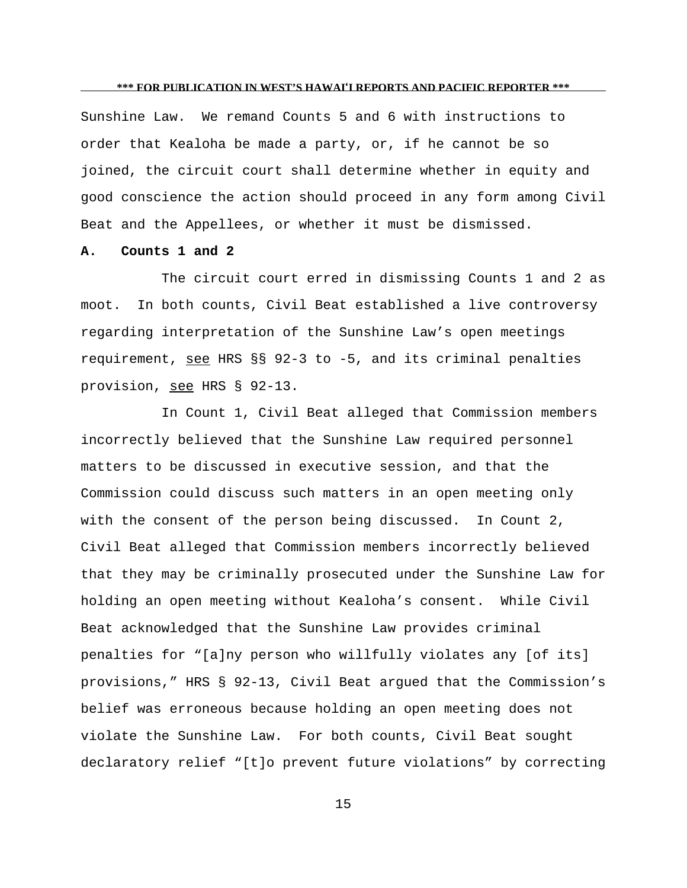Sunshine Law. We remand Counts 5 and 6 with instructions to order that Kealoha be made a party, or, if he cannot be so joined, the circuit court shall determine whether in equity and good conscience the action should proceed in any form among Civil Beat and the Appellees, or whether it must be dismissed.

### **A. Counts 1 and 2**

The circuit court erred in dismissing Counts 1 and 2 as moot. In both counts, Civil Beat established a live controversy regarding interpretation of the Sunshine Law's open meetings requirement, see HRS §§ 92-3 to -5, and its criminal penalties provision, see HRS § 92-13.

In Count 1, Civil Beat alleged that Commission members incorrectly believed that the Sunshine Law required personnel matters to be discussed in executive session, and that the Commission could discuss such matters in an open meeting only with the consent of the person being discussed. In Count 2, Civil Beat alleged that Commission members incorrectly believed that they may be criminally prosecuted under the Sunshine Law for holding an open meeting without Kealoha's consent. While Civil Beat acknowledged that the Sunshine Law provides criminal penalties for "[a]ny person who willfully violates any [of its] provisions," HRS § 92-13, Civil Beat argued that the Commission's belief was erroneous because holding an open meeting does not violate the Sunshine Law. For both counts, Civil Beat sought declaratory relief "[t]o prevent future violations" by correcting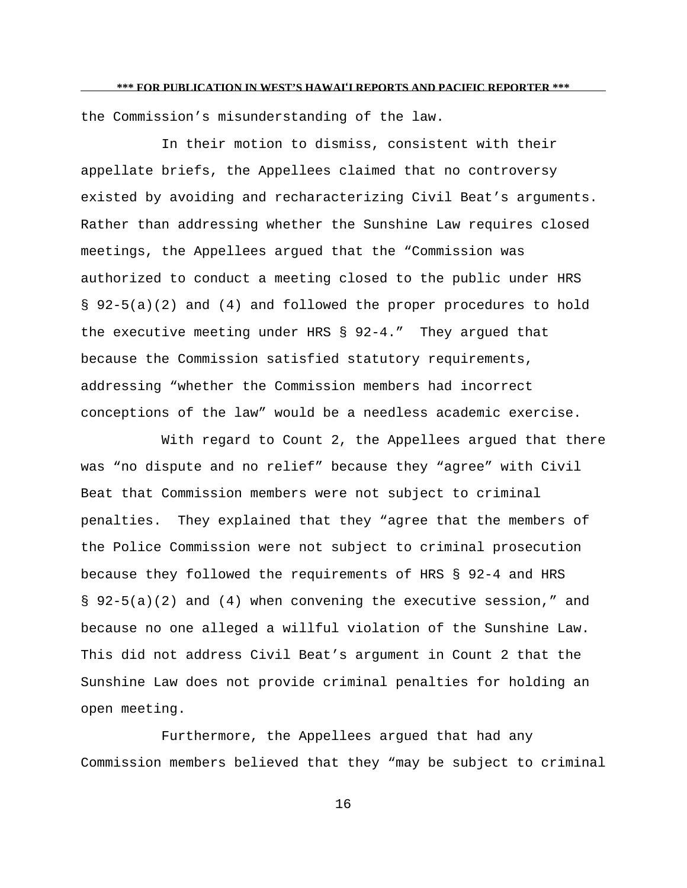the Commission's misunderstanding of the law.

In their motion to dismiss, consistent with their appellate briefs, the Appellees claimed that no controversy existed by avoiding and recharacterizing Civil Beat's arguments. Rather than addressing whether the Sunshine Law requires closed meetings, the Appellees argued that the "Commission was authorized to conduct a meeting closed to the public under HRS § 92-5(a)(2) and (4) and followed the proper procedures to hold the executive meeting under HRS § 92-4." They argued that because the Commission satisfied statutory requirements, addressing "whether the Commission members had incorrect conceptions of the law" would be a needless academic exercise.

With regard to Count 2, the Appellees argued that there was "no dispute and no relief" because they "agree" with Civil Beat that Commission members were not subject to criminal penalties. They explained that they "agree that the members of the Police Commission were not subject to criminal prosecution because they followed the requirements of HRS § 92-4 and HRS § 92-5(a)(2) and (4) when convening the executive session," and because no one alleged a willful violation of the Sunshine Law. This did not address Civil Beat's argument in Count 2 that the Sunshine Law does not provide criminal penalties for holding an open meeting.

Furthermore, the Appellees argued that had any Commission members believed that they "may be subject to criminal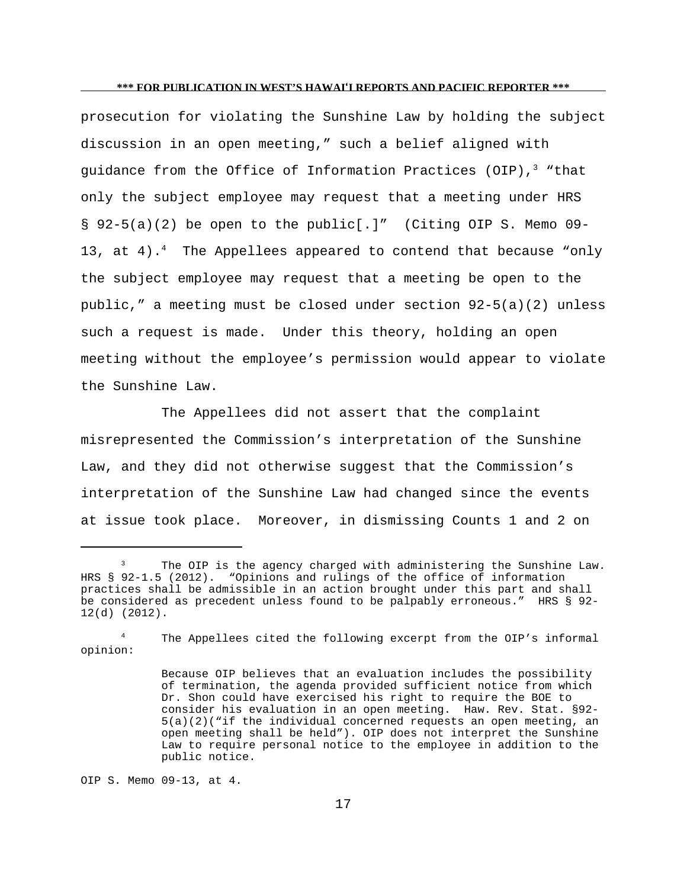prosecution for violating the Sunshine Law by holding the subject discussion in an open meeting," such a belief aligned with guidance from the Office of Information Practices (OIP), $3$  "that only the subject employee may request that a meeting under HRS § 92-5(a)(2) be open to the public[.]" (Citing OIP S. Memo 09- 13, at 4).<sup>4</sup> The Appellees appeared to contend that because "only the subject employee may request that a meeting be open to the public," a meeting must be closed under section  $92-5(a)(2)$  unless such a request is made. Under this theory, holding an open meeting without the employee's permission would appear to violate the Sunshine Law.

The Appellees did not assert that the complaint misrepresented the Commission's interpretation of the Sunshine Law, and they did not otherwise suggest that the Commission's interpretation of the Sunshine Law had changed since the events at issue took place. Moreover, in dismissing Counts 1 and 2 on

<sup>4</sup> The Appellees cited the following excerpt from the OIP's informal opinion:

OIP S. Memo 09-13, at 4.

<sup>&</sup>lt;sup>3</sup> The OIP is the agency charged with administering the Sunshine Law. HRS § 92-1.5 (2012). "Opinions and rulings of the office of information practices shall be admissible in an action brought under this part and shall be considered as precedent unless found to be palpably erroneous." HRS § 92- 12(d) (2012).

Because OIP believes that an evaluation includes the possibility of termination, the agenda provided sufficient notice from which Dr. Shon could have exercised his right to require the BOE to consider his evaluation in an open meeting. Haw. Rev. Stat. §92- 5(a)(2)("if the individual concerned requests an open meeting, an open meeting shall be held"). OIP does not interpret the Sunshine Law to require personal notice to the employee in addition to the public notice.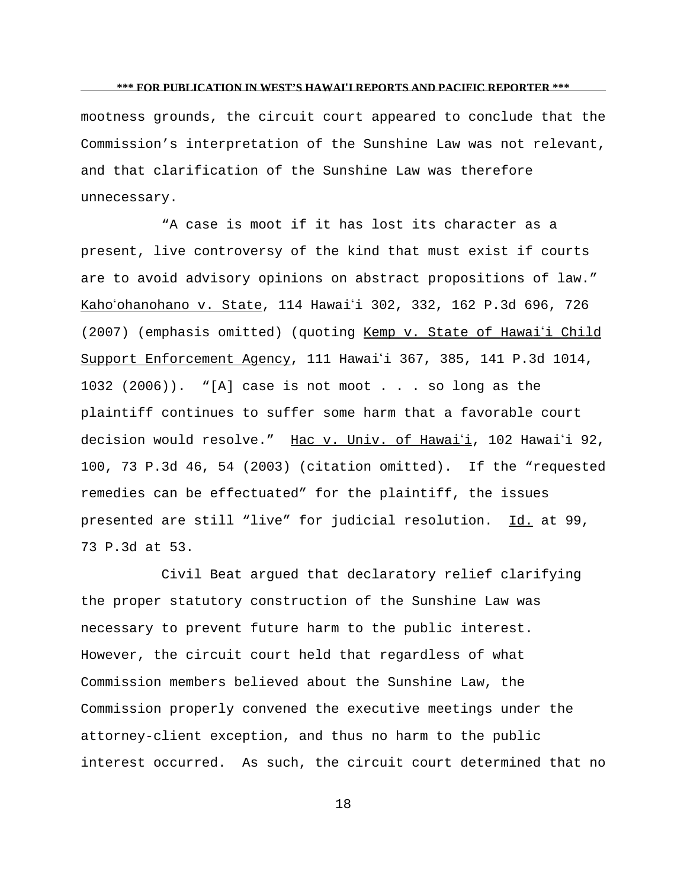mootness grounds, the circuit court appeared to conclude that the Commission's interpretation of the Sunshine Law was not relevant, and that clarification of the Sunshine Law was therefore unnecessary.

"A case is moot if it has lost its character as a present, live controversy of the kind that must exist if courts are to avoid advisory opinions on abstract propositions of law." Kaho'ohanohano v. State, 114 Hawai'i 302, 332, 162 P.3d 696, 726 (2007) (emphasis omitted) (quoting Kemp v. State of Hawai'i Child Support Enforcement Agency, 111 Hawai'i 367, 385, 141 P.3d 1014, 1032 (2006)). "[A] case is not moot . . . so long as the plaintiff continues to suffer some harm that a favorable court decision would resolve." Hac v. Univ. of Hawai'i, 102 Hawai'i 92, 100, 73 P.3d 46, 54 (2003) (citation omitted). If the "requested remedies can be effectuated" for the plaintiff, the issues presented are still "live" for judicial resolution. Id. at 99, 73 P.3d at 53.

Civil Beat argued that declaratory relief clarifying the proper statutory construction of the Sunshine Law was necessary to prevent future harm to the public interest. However, the circuit court held that regardless of what Commission members believed about the Sunshine Law, the Commission properly convened the executive meetings under the attorney-client exception, and thus no harm to the public interest occurred. As such, the circuit court determined that no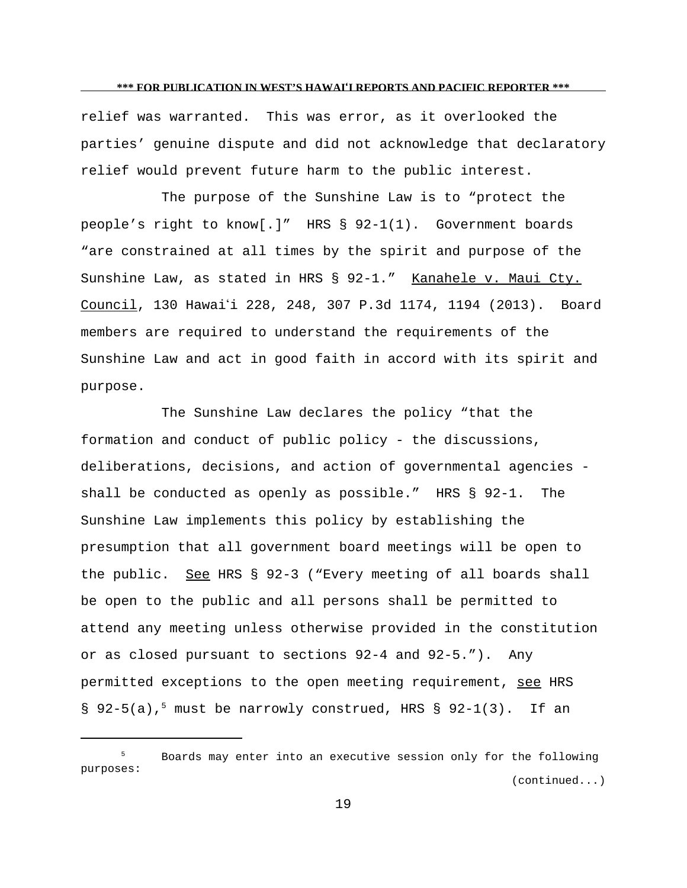relief was warranted. This was error, as it overlooked the parties' genuine dispute and did not acknowledge that declaratory relief would prevent future harm to the public interest.

The purpose of the Sunshine Law is to "protect the people's right to know[.]" HRS § 92-1(1). Government boards "are constrained at all times by the spirit and purpose of the Sunshine Law, as stated in HRS § 92-1." Kanahele v. Maui Cty. Council, 130 Hawaii 228, 248, 307 P.3d 1174, 1194 (2013). Board members are required to understand the requirements of the Sunshine Law and act in good faith in accord with its spirit and purpose.

The Sunshine Law declares the policy "that the formation and conduct of public policy - the discussions, deliberations, decisions, and action of governmental agencies shall be conducted as openly as possible." HRS § 92-1. The Sunshine Law implements this policy by establishing the presumption that all government board meetings will be open to the public. See HRS § 92-3 ("Every meeting of all boards shall be open to the public and all persons shall be permitted to attend any meeting unless otherwise provided in the constitution or as closed pursuant to sections 92-4 and 92-5."). Any permitted exceptions to the open meeting requirement, see HRS § 92-5(a),<sup>5</sup> must be narrowly construed, HRS § 92-1(3). If an

<sup>5</sup> Boards may enter into an executive session only for the following purposes: (continued...)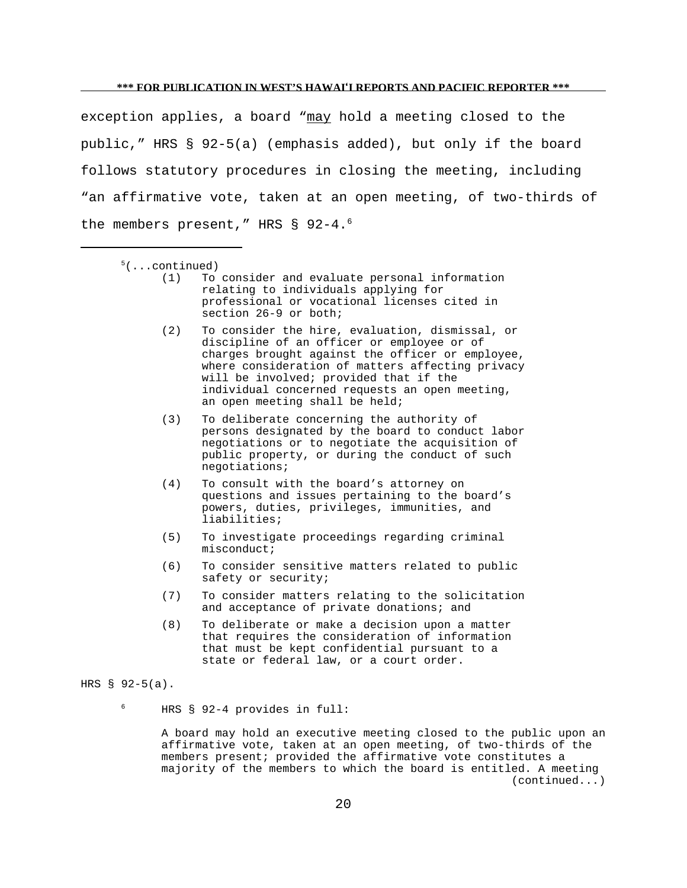exception applies, a board "may hold a meeting closed to the public," HRS § 92-5(a) (emphasis added), but only if the board follows statutory procedures in closing the meeting, including "an affirmative vote, taken at an open meeting, of two-thirds of the members present," HRS § 92-4.<sup>6</sup>

- $5($ ...continued)
	- (1) To consider and evaluate personal information relating to individuals applying for professional or vocational licenses cited in section 26-9 or both;
	- (2) To consider the hire, evaluation, dismissal, or discipline of an officer or employee or of charges brought against the officer or employee, where consideration of matters affecting privacy will be involved; provided that if the individual concerned requests an open meeting, an open meeting shall be held;
	- (3) To deliberate concerning the authority of persons designated by the board to conduct labor negotiations or to negotiate the acquisition of public property, or during the conduct of such negotiations;
	- (4) To consult with the board's attorney on questions and issues pertaining to the board's powers, duties, privileges, immunities, and liabilities;
	- (5) To investigate proceedings regarding criminal misconduct;
	- (6) To consider sensitive matters related to public safety or security;
	- (7) To consider matters relating to the solicitation and acceptance of private donations; and
	- (8) To deliberate or make a decision upon a matter that requires the consideration of information that must be kept confidential pursuant to a state or federal law, or a court order.

#### HRS § 92-5(a).

<sup>6</sup> HRS § 92-4 provides in full:

A board may hold an executive meeting closed to the public upon an affirmative vote, taken at an open meeting, of two-thirds of the members present; provided the affirmative vote constitutes a majority of the members to which the board is entitled. A meeting (continued...)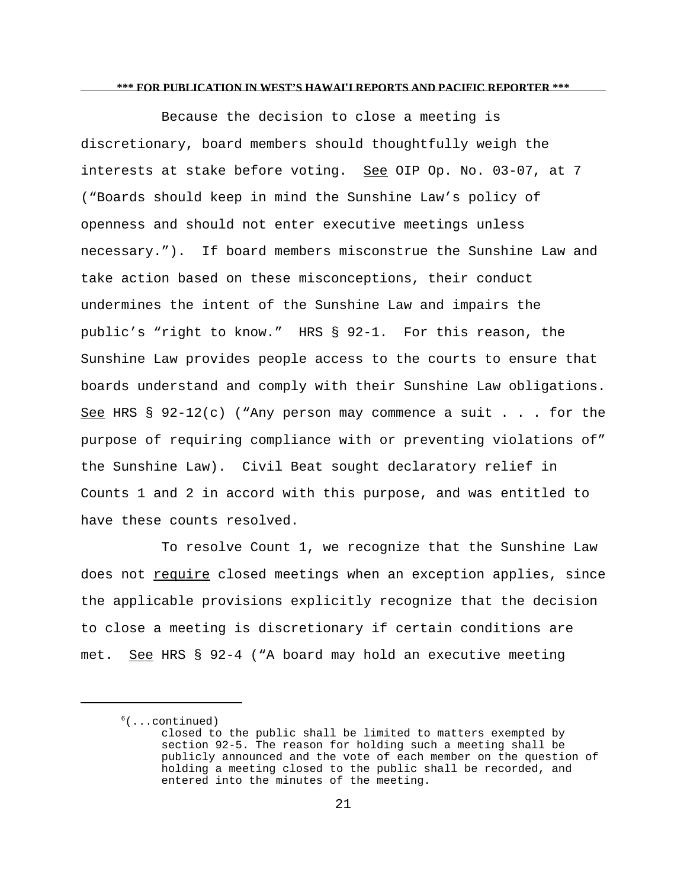Because the decision to close a meeting is discretionary, board members should thoughtfully weigh the interests at stake before voting. See OIP Op. No. 03-07, at 7 ("Boards should keep in mind the Sunshine Law's policy of openness and should not enter executive meetings unless necessary."). If board members misconstrue the Sunshine Law and take action based on these misconceptions, their conduct undermines the intent of the Sunshine Law and impairs the public's "right to know." HRS § 92-1. For this reason, the Sunshine Law provides people access to the courts to ensure that boards understand and comply with their Sunshine Law obligations. See HRS §  $92-12(c)$  ("Any person may commence a suit . . . for the purpose of requiring compliance with or preventing violations of" the Sunshine Law). Civil Beat sought declaratory relief in Counts 1 and 2 in accord with this purpose, and was entitled to have these counts resolved.

To resolve Count 1, we recognize that the Sunshine Law does not require closed meetings when an exception applies, since the applicable provisions explicitly recognize that the decision to close a meeting is discretionary if certain conditions are met. See HRS § 92-4 ("A board may hold an executive meeting

 $<sup>6</sup>(...continued)$ </sup>

closed to the public shall be limited to matters exempted by section 92-5. The reason for holding such a meeting shall be publicly announced and the vote of each member on the question of holding a meeting closed to the public shall be recorded, and entered into the minutes of the meeting.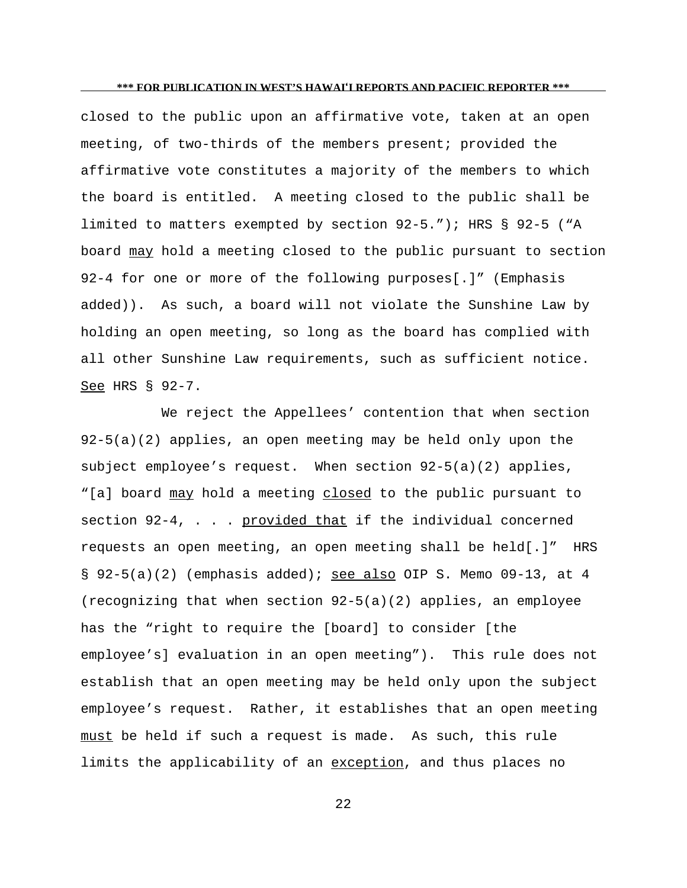closed to the public upon an affirmative vote, taken at an open meeting, of two-thirds of the members present; provided the affirmative vote constitutes a majority of the members to which the board is entitled. A meeting closed to the public shall be limited to matters exempted by section 92-5."); HRS § 92-5 ("A board may hold a meeting closed to the public pursuant to section 92-4 for one or more of the following purposes[.]" (Emphasis added)). As such, a board will not violate the Sunshine Law by holding an open meeting, so long as the board has complied with all other Sunshine Law requirements, such as sufficient notice. See HRS § 92-7.

We reject the Appellees' contention that when section 92-5(a)(2) applies, an open meeting may be held only upon the subject employee's request. When section 92-5(a)(2) applies, "[a] board may hold a meeting closed to the public pursuant to section  $92-4$ , . . . provided that if the individual concerned requests an open meeting, an open meeting shall be held[.]" HRS § 92-5(a)(2) (emphasis added); see also OIP S. Memo 09-13, at 4 (recognizing that when section 92-5(a)(2) applies, an employee has the "right to require the [board] to consider [the employee's] evaluation in an open meeting"). This rule does not establish that an open meeting may be held only upon the subject employee's request. Rather, it establishes that an open meeting must be held if such a request is made. As such, this rule limits the applicability of an exception, and thus places no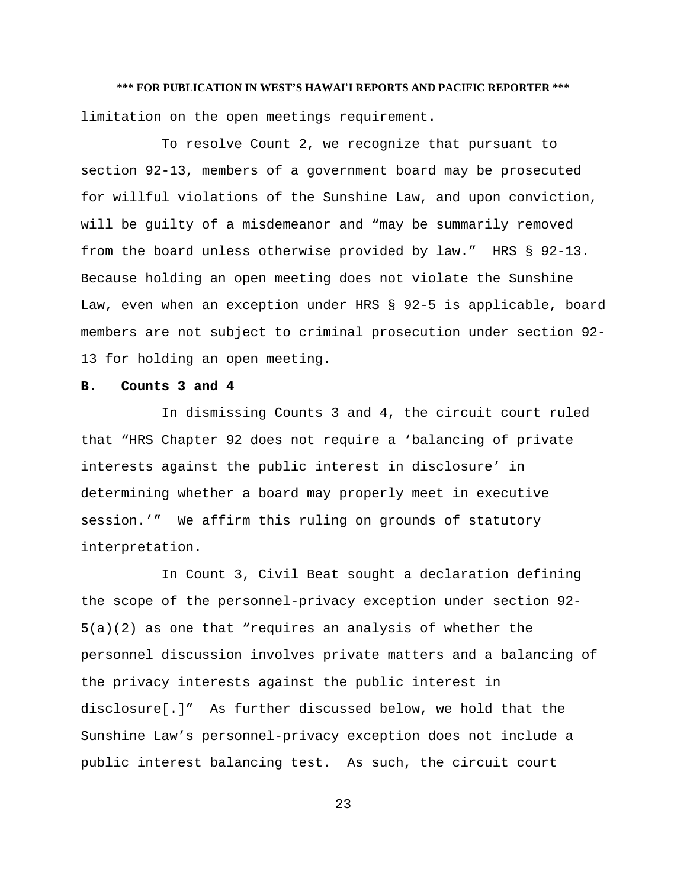limitation on the open meetings requirement.

To resolve Count 2, we recognize that pursuant to section 92-13, members of a government board may be prosecuted for willful violations of the Sunshine Law, and upon conviction, will be guilty of a misdemeanor and "may be summarily removed from the board unless otherwise provided by law." HRS § 92-13. Because holding an open meeting does not violate the Sunshine Law, even when an exception under HRS § 92-5 is applicable, board members are not subject to criminal prosecution under section 92- 13 for holding an open meeting.

## **B. Counts 3 and 4**

In dismissing Counts 3 and 4, the circuit court ruled that "HRS Chapter 92 does not require a 'balancing of private interests against the public interest in disclosure' in determining whether a board may properly meet in executive session.'" We affirm this ruling on grounds of statutory interpretation.

In Count 3, Civil Beat sought a declaration defining the scope of the personnel-privacy exception under section 92- 5(a)(2) as one that "requires an analysis of whether the personnel discussion involves private matters and a balancing of the privacy interests against the public interest in disclosure[.]" As further discussed below, we hold that the Sunshine Law's personnel-privacy exception does not include a public interest balancing test. As such, the circuit court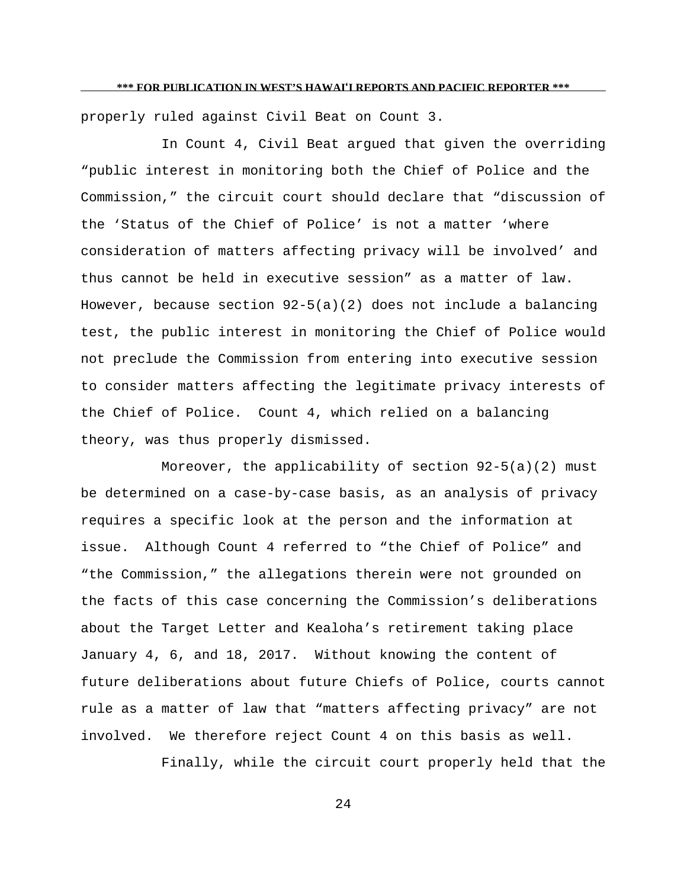properly ruled against Civil Beat on Count 3.

In Count 4, Civil Beat argued that given the overriding "public interest in monitoring both the Chief of Police and the Commission," the circuit court should declare that "discussion of the 'Status of the Chief of Police' is not a matter 'where consideration of matters affecting privacy will be involved' and thus cannot be held in executive session" as a matter of law. However, because section  $92-5(a)(2)$  does not include a balancing test, the public interest in monitoring the Chief of Police would not preclude the Commission from entering into executive session to consider matters affecting the legitimate privacy interests of the Chief of Police. Count 4, which relied on a balancing theory, was thus properly dismissed.

Moreover, the applicability of section  $92-5(a)(2)$  must be determined on a case-by-case basis, as an analysis of privacy requires a specific look at the person and the information at issue. Although Count 4 referred to "the Chief of Police" and "the Commission," the allegations therein were not grounded on the facts of this case concerning the Commission's deliberations about the Target Letter and Kealoha's retirement taking place January 4, 6, and 18, 2017. Without knowing the content of future deliberations about future Chiefs of Police, courts cannot rule as a matter of law that "matters affecting privacy" are not involved. We therefore reject Count 4 on this basis as well.

Finally, while the circuit court properly held that the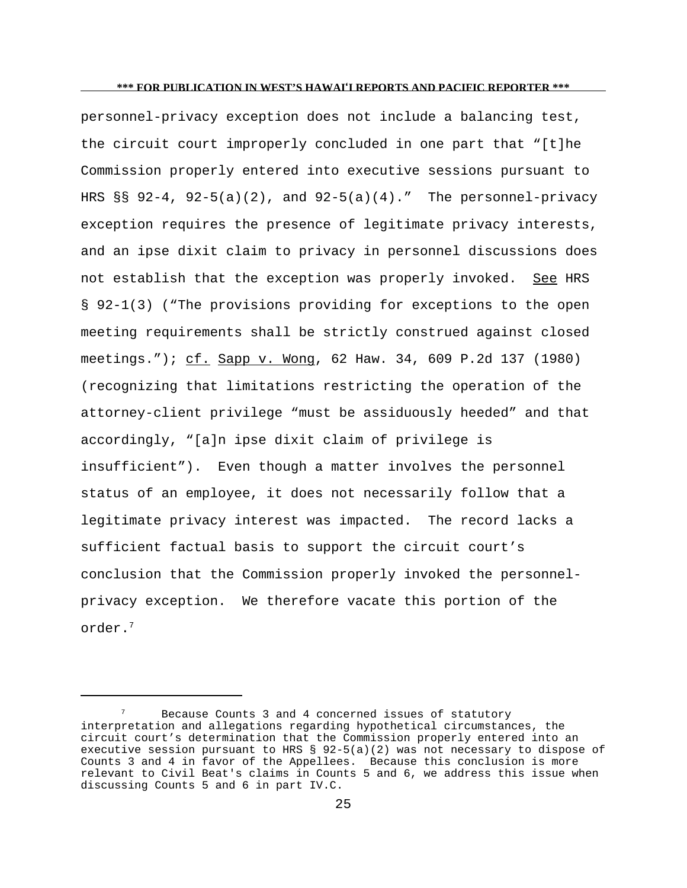personnel-privacy exception does not include a balancing test, the circuit court improperly concluded in one part that "[t]he Commission properly entered into executive sessions pursuant to HRS §§ 92-4, 92-5(a)(2), and 92-5(a)(4)." The personnel-privacy exception requires the presence of legitimate privacy interests, and an ipse dixit claim to privacy in personnel discussions does not establish that the exception was properly invoked. See HRS § 92-1(3) ("The provisions providing for exceptions to the open meeting requirements shall be strictly construed against closed meetings."); cf. Sapp v. Wong, 62 Haw. 34, 609 P.2d 137 (1980) (recognizing that limitations restricting the operation of the attorney-client privilege "must be assiduously heeded" and that accordingly, "[a]n ipse dixit claim of privilege is insufficient"). Even though a matter involves the personnel status of an employee, it does not necessarily follow that a legitimate privacy interest was impacted. The record lacks a sufficient factual basis to support the circuit court's conclusion that the Commission properly invoked the personnelprivacy exception. We therefore vacate this portion of the order.<sup>7</sup>

Because Counts 3 and 4 concerned issues of statutory interpretation and allegations regarding hypothetical circumstances, the circuit court's determination that the Commission properly entered into an executive session pursuant to HRS  $\S$  92-5(a)(2) was not necessary to dispose of Counts 3 and 4 in favor of the Appellees. Because this conclusion is more relevant to Civil Beat's claims in Counts 5 and 6, we address this issue when discussing Counts 5 and 6 in part IV.C.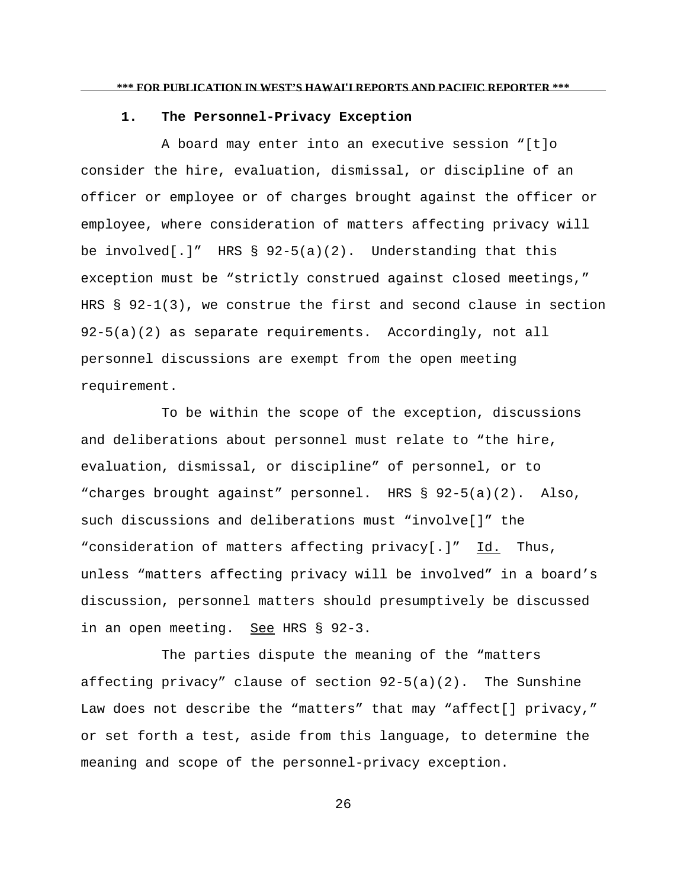## **1. The Personnel-Privacy Exception**

A board may enter into an executive session "[t]o consider the hire, evaluation, dismissal, or discipline of an officer or employee or of charges brought against the officer or employee, where consideration of matters affecting privacy will be involved[.]" HRS  $\S$  92-5(a)(2). Understanding that this exception must be "strictly construed against closed meetings," HRS § 92-1(3), we construe the first and second clause in section 92-5(a)(2) as separate requirements. Accordingly, not all personnel discussions are exempt from the open meeting requirement.

To be within the scope of the exception, discussions and deliberations about personnel must relate to "the hire, evaluation, dismissal, or discipline" of personnel, or to "charges brought against" personnel. HRS § 92-5(a)(2). Also, such discussions and deliberations must "involve[]" the "consideration of matters affecting privacy[.]" Id. Thus, unless "matters affecting privacy will be involved" in a board's discussion, personnel matters should presumptively be discussed in an open meeting. See HRS § 92-3.

The parties dispute the meaning of the "matters affecting privacy" clause of section 92-5(a)(2). The Sunshine Law does not describe the "matters" that may "affect[] privacy," or set forth a test, aside from this language, to determine the meaning and scope of the personnel-privacy exception.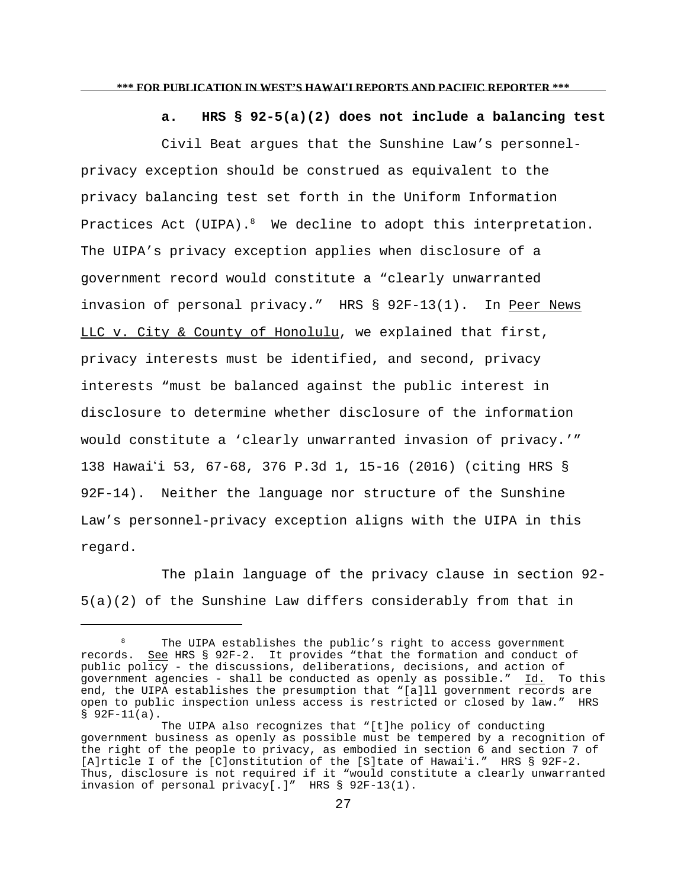**a. HRS § 92-5(a)(2) does not include a balancing test**

Civil Beat argues that the Sunshine Law's personnelprivacy exception should be construed as equivalent to the privacy balancing test set forth in the Uniform Information Practices Act (UIPA). $8$  We decline to adopt this interpretation. The UIPA's privacy exception applies when disclosure of a government record would constitute a "clearly unwarranted invasion of personal privacy." HRS § 92F-13(1). In Peer News LLC v. City & County of Honolulu, we explained that first, privacy interests must be identified, and second, privacy interests "must be balanced against the public interest in disclosure to determine whether disclosure of the information would constitute a 'clearly unwarranted invasion of privacy.'" 138 Hawaii 53, 67-68, 376 P.3d 1, 15-16 (2016) (citing HRS § 92F-14). Neither the language nor structure of the Sunshine Law's personnel-privacy exception aligns with the UIPA in this regard.

The plain language of the privacy clause in section 92- 5(a)(2) of the Sunshine Law differs considerably from that in

The UIPA establishes the public's right to access government records. See HRS § 92F-2. It provides "that the formation and conduct of public policy - the discussions, deliberations, decisions, and action of government agencies - shall be conducted as openly as possible." Id. To this end, the UIPA establishes the presumption that "[a]ll government records are open to public inspection unless access is restricted or closed by law." HRS § 92F-11(a).

The UIPA also recognizes that "[t]he policy of conducting government business as openly as possible must be tempered by a recognition of the right of the people to privacy, as embodied in section 6 and section 7 of [A]rticle I of the [C]onstitution of the [S]tate of Hawaii." HRS § 92F-2. Thus, disclosure is not required if it "would constitute a clearly unwarranted invasion of personal privacy[.]" HRS § 92F-13(1).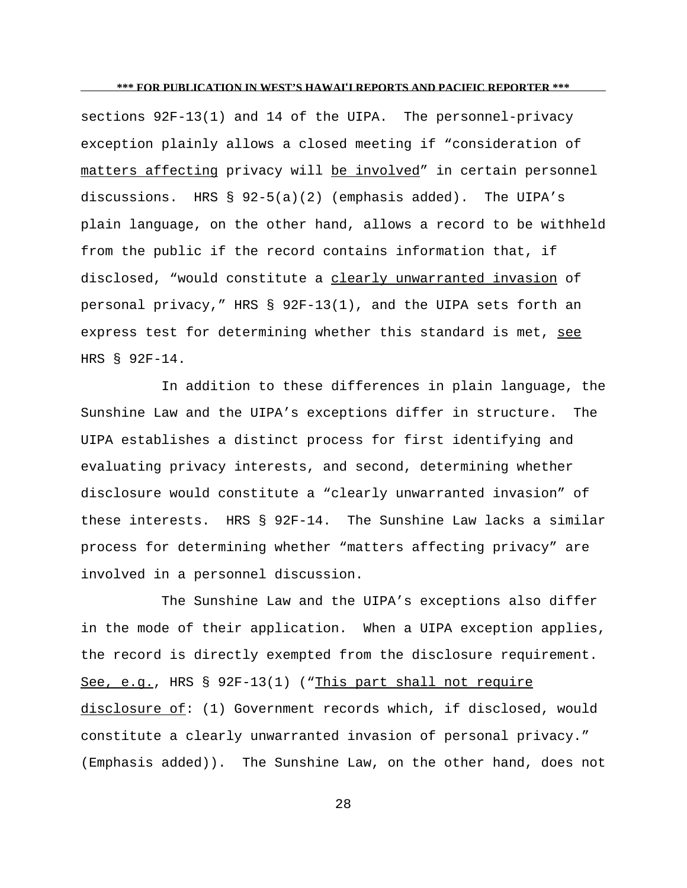sections 92F-13(1) and 14 of the UIPA. The personnel-privacy exception plainly allows a closed meeting if "consideration of matters affecting privacy will be involved" in certain personnel discussions. HRS § 92-5(a)(2) (emphasis added). The UIPA's plain language, on the other hand, allows a record to be withheld from the public if the record contains information that, if disclosed, "would constitute a clearly unwarranted invasion of personal privacy," HRS § 92F-13(1), and the UIPA sets forth an express test for determining whether this standard is met, see HRS § 92F-14.

In addition to these differences in plain language, the Sunshine Law and the UIPA's exceptions differ in structure. The UIPA establishes a distinct process for first identifying and evaluating privacy interests, and second, determining whether disclosure would constitute a "clearly unwarranted invasion" of these interests. HRS § 92F-14. The Sunshine Law lacks a similar process for determining whether "matters affecting privacy" are involved in a personnel discussion.

The Sunshine Law and the UIPA's exceptions also differ in the mode of their application. When a UIPA exception applies, the record is directly exempted from the disclosure requirement. See, e.g., HRS § 92F-13(1) ("This part shall not require disclosure of: (1) Government records which, if disclosed, would constitute a clearly unwarranted invasion of personal privacy." (Emphasis added)). The Sunshine Law, on the other hand, does not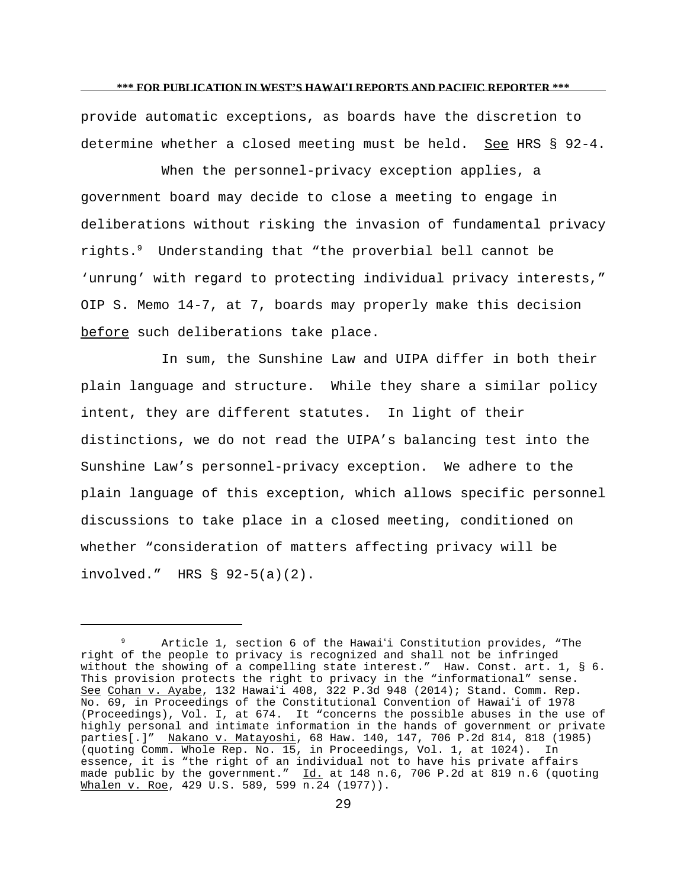provide automatic exceptions, as boards have the discretion to determine whether a closed meeting must be held. See HRS § 92-4.

When the personnel-privacy exception applies, a government board may decide to close a meeting to engage in deliberations without risking the invasion of fundamental privacy rights.<sup>9</sup> Understanding that "the proverbial bell cannot be 'unrung' with regard to protecting individual privacy interests," OIP S. Memo 14-7, at 7, boards may properly make this decision before such deliberations take place.

In sum, the Sunshine Law and UIPA differ in both their plain language and structure. While they share a similar policy intent, they are different statutes. In light of their distinctions, we do not read the UIPA's balancing test into the Sunshine Law's personnel-privacy exception. We adhere to the plain language of this exception, which allows specific personnel discussions to take place in a closed meeting, conditioned on whether "consideration of matters affecting privacy will be involved." HRS § 92-5(a)(2).

Article 1, section 6 of the Hawai'i Constitution provides, "The right of the people to privacy is recognized and shall not be infringed without the showing of a compelling state interest." Haw. Const. art. 1, § 6. This provision protects the right to privacy in the "informational" sense. See Cohan v. Ayabe, 132 Hawai'i 408, 322 P.3d 948 (2014); Stand. Comm. Rep. No. 69, in Proceedings of the Constitutional Convention of Hawai'i of 1978 (Proceedings), Vol. I, at 674. It "concerns the possible abuses in the use of highly personal and intimate information in the hands of government or private parties[.]" Nakano v. Matayoshi, 68 Haw. 140, 147, 706 P.2d 814, 818 (1985) (quoting Comm. Whole Rep. No. 15, in Proceedings, Vol. 1, at 1024). In essence, it is "the right of an individual not to have his private affairs made public by the government."  $\underline{Id.}$  at 148 n.6, 706 P.2d at 819 n.6 (quoting Whalen v. Roe, 429 U.S. 589, 599 n.24 (1977)).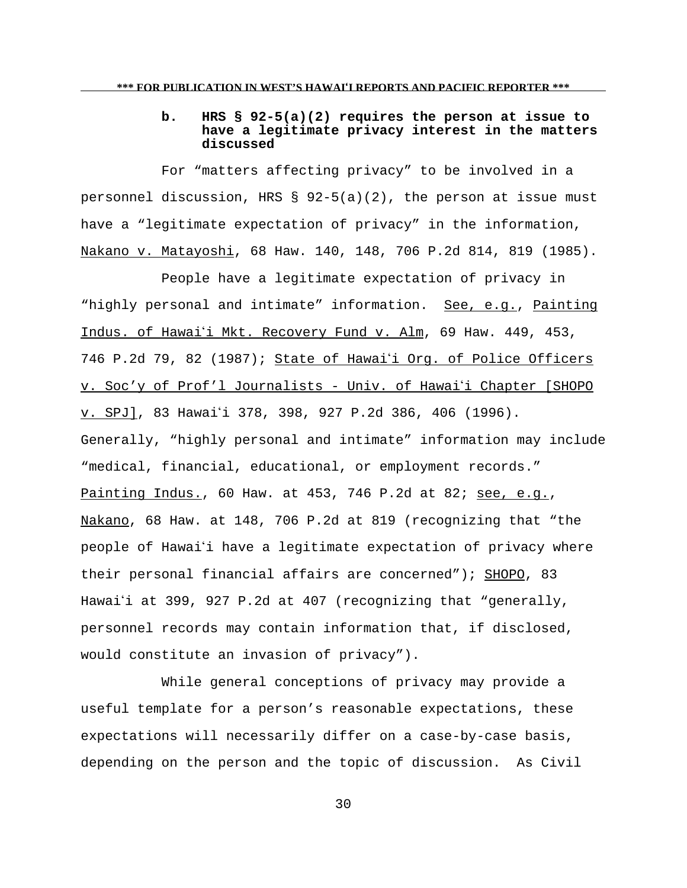# **b. HRS § 92-5(a)(2) requires the person at issue to have a legitimate privacy interest in the matters discussed**

For "matters affecting privacy" to be involved in a personnel discussion, HRS  $\S$  92-5(a)(2), the person at issue must have a "legitimate expectation of privacy" in the information, Nakano v. Matayoshi, 68 Haw. 140, 148, 706 P.2d 814, 819 (1985).

People have a legitimate expectation of privacy in "highly personal and intimate" information. See, e.g., Painting Indus. of Hawai'i Mkt. Recovery Fund v. Alm, 69 Haw. 449, 453, 746 P.2d 79, 82 (1987); State of Hawai'i Org. of Police Officers v. Soc'y of Prof'l Journalists - Univ. of Hawaii Chapter [SHOPO v. SPJ], 83 Hawai'i 378, 398, 927 P.2d 386, 406 (1996). Generally, "highly personal and intimate" information may include "medical, financial, educational, or employment records." Painting Indus., 60 Haw. at 453, 746 P.2d at 82; see, e.g., Nakano, 68 Haw. at 148, 706 P.2d at 819 (recognizing that "the people of Hawaii have a legitimate expectation of privacy where their personal financial affairs are concerned"); SHOPO, 83 Hawai'i at 399, 927 P.2d at 407 (recognizing that "generally, personnel records may contain information that, if disclosed, would constitute an invasion of privacy").

While general conceptions of privacy may provide a useful template for a person's reasonable expectations, these expectations will necessarily differ on a case-by-case basis, depending on the person and the topic of discussion. As Civil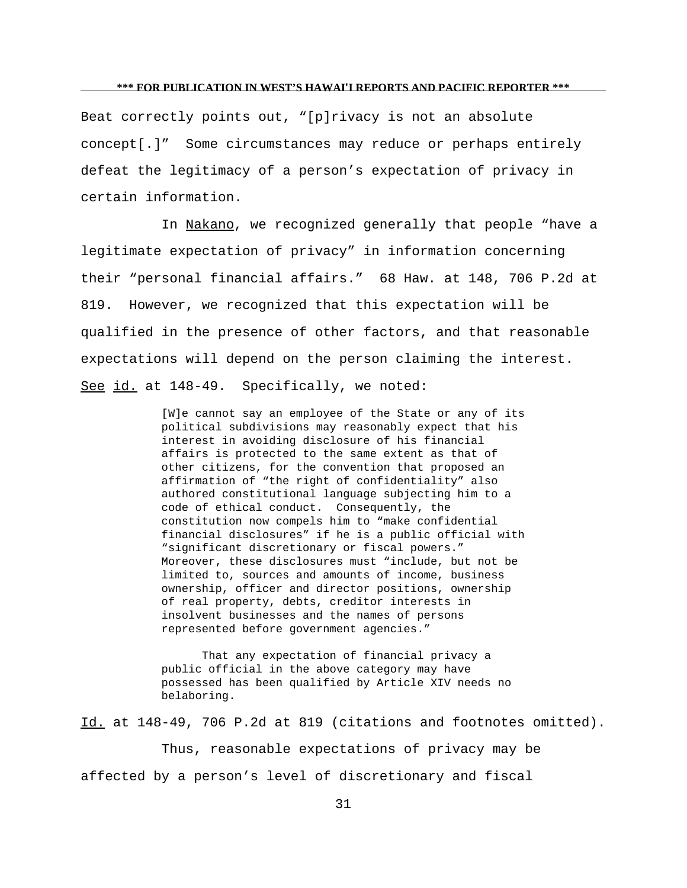Beat correctly points out, "[p]rivacy is not an absolute concept[.]" Some circumstances may reduce or perhaps entirely defeat the legitimacy of a person's expectation of privacy in certain information.

In Nakano, we recognized generally that people "have a legitimate expectation of privacy" in information concerning their "personal financial affairs." 68 Haw. at 148, 706 P.2d at 819. However, we recognized that this expectation will be qualified in the presence of other factors, and that reasonable expectations will depend on the person claiming the interest. See id. at 148-49. Specifically, we noted:

> [W]e cannot say an employee of the State or any of its political subdivisions may reasonably expect that his interest in avoiding disclosure of his financial affairs is protected to the same extent as that of other citizens, for the convention that proposed an affirmation of "the right of confidentiality" also authored constitutional language subjecting him to a code of ethical conduct. Consequently, the constitution now compels him to "make confidential financial disclosures" if he is a public official with "significant discretionary or fiscal powers." Moreover, these disclosures must "include, but not be limited to, sources and amounts of income, business ownership, officer and director positions, ownership of real property, debts, creditor interests in insolvent businesses and the names of persons represented before government agencies."

That any expectation of financial privacy a public official in the above category may have possessed has been qualified by Article XIV needs no belaboring.

Id. at 148-49, 706 P.2d at 819 (citations and footnotes omitted).

Thus, reasonable expectations of privacy may be affected by a person's level of discretionary and fiscal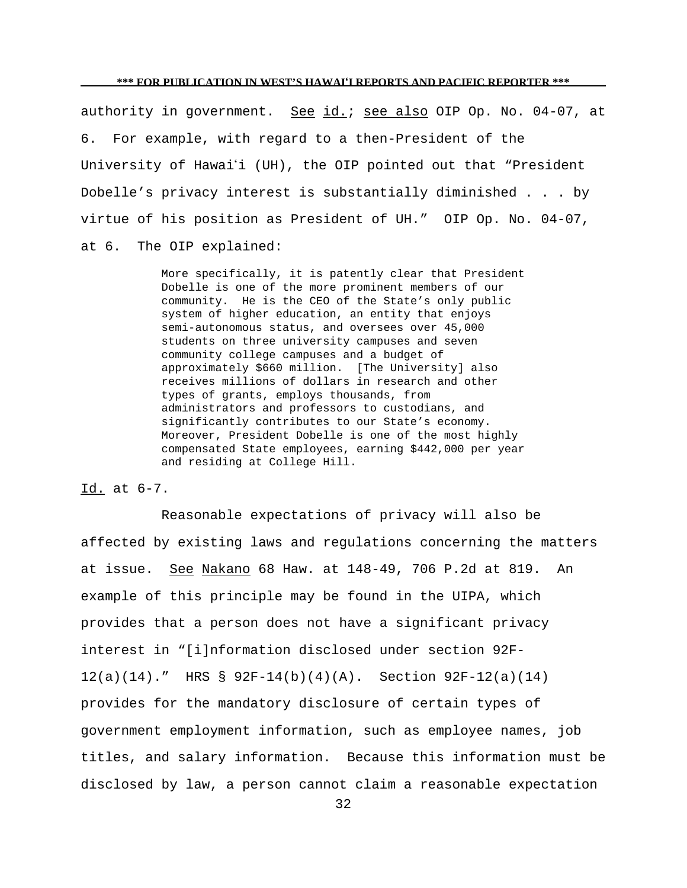authority in government. See id.; see also OIP Op. No. 04-07, at 6. For example, with regard to a then-President of the University of Hawai'i (UH), the OIP pointed out that "President Dobelle's privacy interest is substantially diminished . . . by virtue of his position as President of UH." OIP Op. No. 04-07, at 6. The OIP explained:

> More specifically, it is patently clear that President Dobelle is one of the more prominent members of our community. He is the CEO of the State's only public system of higher education, an entity that enjoys semi-autonomous status, and oversees over 45,000 students on three university campuses and seven community college campuses and a budget of approximately \$660 million. [The University] also receives millions of dollars in research and other types of grants, employs thousands, from administrators and professors to custodians, and significantly contributes to our State's economy. Moreover, President Dobelle is one of the most highly compensated State employees, earning \$442,000 per year and residing at College Hill.

## Id. at 6-7.

Reasonable expectations of privacy will also be affected by existing laws and regulations concerning the matters at issue. See Nakano 68 Haw. at 148-49, 706 P.2d at 819. An example of this principle may be found in the UIPA, which provides that a person does not have a significant privacy interest in "[i]nformation disclosed under section 92F-12(a)(14)." HRS § 92F-14(b)(4)(A). Section 92F-12(a)(14) provides for the mandatory disclosure of certain types of government employment information, such as employee names, job titles, and salary information. Because this information must be disclosed by law, a person cannot claim a reasonable expectation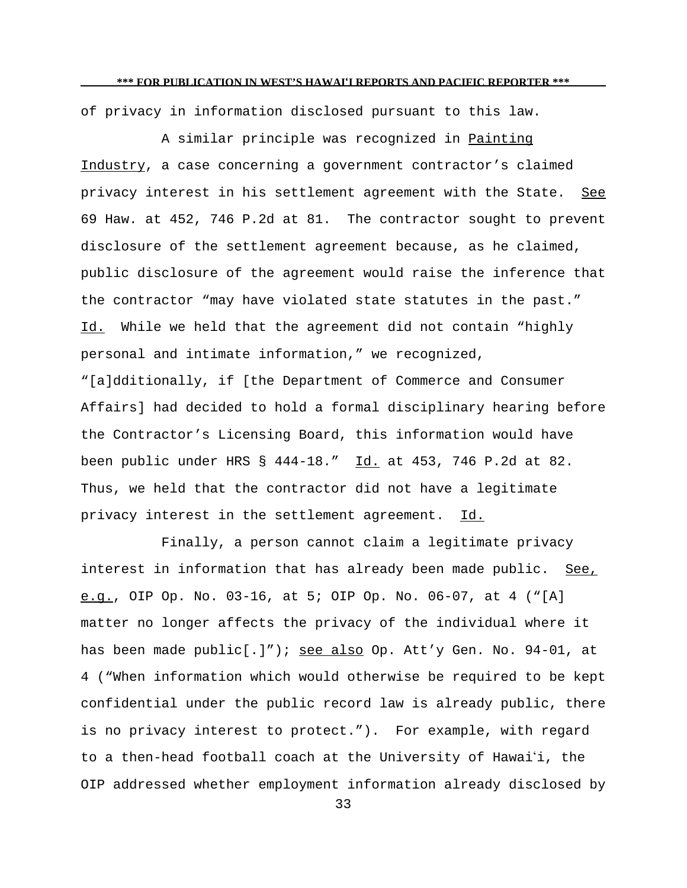of privacy in information disclosed pursuant to this law.

A similar principle was recognized in Painting Industry, a case concerning a government contractor's claimed privacy interest in his settlement agreement with the State. See 69 Haw. at 452, 746 P.2d at 81. The contractor sought to prevent disclosure of the settlement agreement because, as he claimed, public disclosure of the agreement would raise the inference that the contractor "may have violated state statutes in the past." Id. While we held that the agreement did not contain "highly personal and intimate information," we recognized, "[a]dditionally, if [the Department of Commerce and Consumer Affairs] had decided to hold a formal disciplinary hearing before the Contractor's Licensing Board, this information would have been public under HRS § 444-18." Id. at 453, 746 P.2d at 82. Thus, we held that the contractor did not have a legitimate privacy interest in the settlement agreement. Id.

Finally, a person cannot claim a legitimate privacy interest in information that has already been made public. See, e.g., OIP Op. No. 03-16, at 5; OIP Op. No. 06-07, at 4 ("[A] matter no longer affects the privacy of the individual where it has been made public[.]"); see also Op. Att'y Gen. No. 94-01, at 4 ("When information which would otherwise be required to be kept confidential under the public record law is already public, there is no privacy interest to protect."). For example, with regard to a then-head football coach at the University of Hawai'i, the OIP addressed whether employment information already disclosed by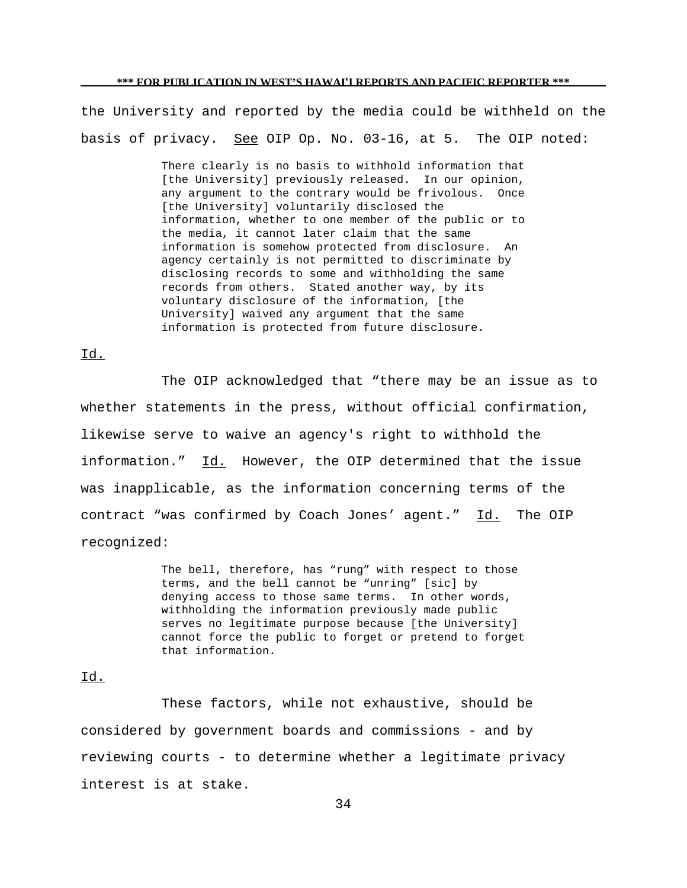the University and reported by the media could be withheld on the basis of privacy. See OIP Op. No. 03-16, at 5. The OIP noted:

> There clearly is no basis to withhold information that [the University] previously released. In our opinion, any argument to the contrary would be frivolous. Once [the University] voluntarily disclosed the information, whether to one member of the public or to the media, it cannot later claim that the same information is somehow protected from disclosure. An agency certainly is not permitted to discriminate by disclosing records to some and withholding the same records from others. Stated another way, by its voluntary disclosure of the information, [the University] waived any argument that the same information is protected from future disclosure.

# Id.

The OIP acknowledged that "there may be an issue as to whether statements in the press, without official confirmation, likewise serve to waive an agency's right to withhold the information." Id. However, the OIP determined that the issue was inapplicable, as the information concerning terms of the contract "was confirmed by Coach Jones' agent." Id. The OIP recognized:

> The bell, therefore, has "rung" with respect to those terms, and the bell cannot be "unring" [sic] by denying access to those same terms. In other words, withholding the information previously made public serves no legitimate purpose because [the University] cannot force the public to forget or pretend to forget that information.

## Id.

These factors, while not exhaustive, should be considered by government boards and commissions - and by reviewing courts - to determine whether a legitimate privacy interest is at stake.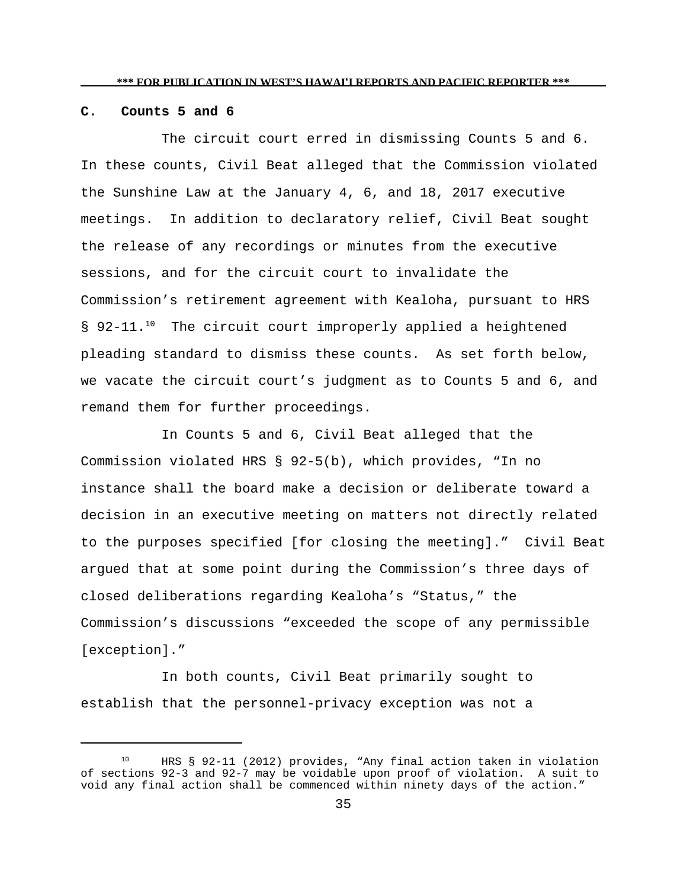## **C. Counts 5 and 6**

The circuit court erred in dismissing Counts 5 and 6. In these counts, Civil Beat alleged that the Commission violated the Sunshine Law at the January 4, 6, and 18, 2017 executive meetings. In addition to declaratory relief, Civil Beat sought the release of any recordings or minutes from the executive sessions, and for the circuit court to invalidate the Commission's retirement agreement with Kealoha, pursuant to HRS § 92-11.<sup>10</sup> The circuit court improperly applied a heightened pleading standard to dismiss these counts. As set forth below, we vacate the circuit court's judgment as to Counts 5 and 6, and remand them for further proceedings.

In Counts 5 and 6, Civil Beat alleged that the Commission violated HRS § 92-5(b), which provides, "In no instance shall the board make a decision or deliberate toward a decision in an executive meeting on matters not directly related to the purposes specified [for closing the meeting]." Civil Beat argued that at some point during the Commission's three days of closed deliberations regarding Kealoha's "Status," the Commission's discussions "exceeded the scope of any permissible [exception]."

In both counts, Civil Beat primarily sought to establish that the personnel-privacy exception was not a

<sup>10</sup> HRS § 92-11 (2012) provides, "Any final action taken in violation of sections 92-3 and 92-7 may be voidable upon proof of violation. A suit to void any final action shall be commenced within ninety days of the action."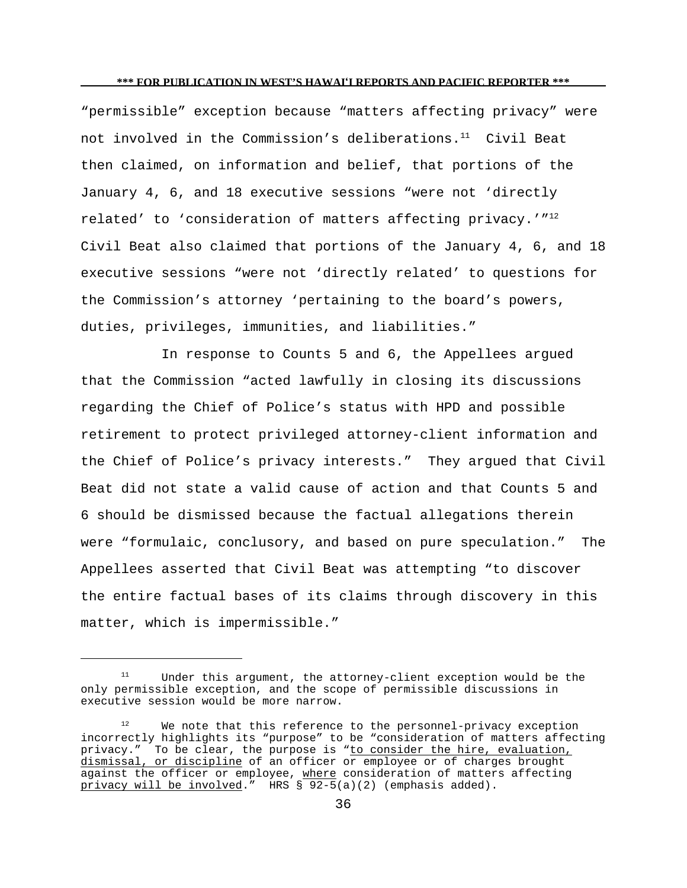"permissible" exception because "matters affecting privacy" were not involved in the Commission's deliberations.<sup>11</sup> Civil Beat then claimed, on information and belief, that portions of the January 4, 6, and 18 executive sessions "were not 'directly related' to 'consideration of matters affecting privacy.'"<sup>12</sup> Civil Beat also claimed that portions of the January 4, 6, and 18 executive sessions "were not 'directly related' to questions for the Commission's attorney 'pertaining to the board's powers, duties, privileges, immunities, and liabilities."

In response to Counts 5 and 6, the Appellees argued that the Commission "acted lawfully in closing its discussions regarding the Chief of Police's status with HPD and possible retirement to protect privileged attorney-client information and the Chief of Police's privacy interests." They argued that Civil Beat did not state a valid cause of action and that Counts 5 and 6 should be dismissed because the factual allegations therein were "formulaic, conclusory, and based on pure speculation." The Appellees asserted that Civil Beat was attempting "to discover the entire factual bases of its claims through discovery in this matter, which is impermissible."

Under this argument, the attorney-client exception would be the only permissible exception, and the scope of permissible discussions in executive session would be more narrow.

<sup>&</sup>lt;sup>12</sup> We note that this reference to the personnel-privacy exception incorrectly highlights its "purpose" to be "consideration of matters affecting privacy." To be clear, the purpose is "to consider the hire, evaluation, dismissal, or discipline of an officer or employee or of charges brought against the officer or employee, where consideration of matters affecting privacy will be involved." HRS  $\sqrt{92-5(a)(2)}$  (emphasis added).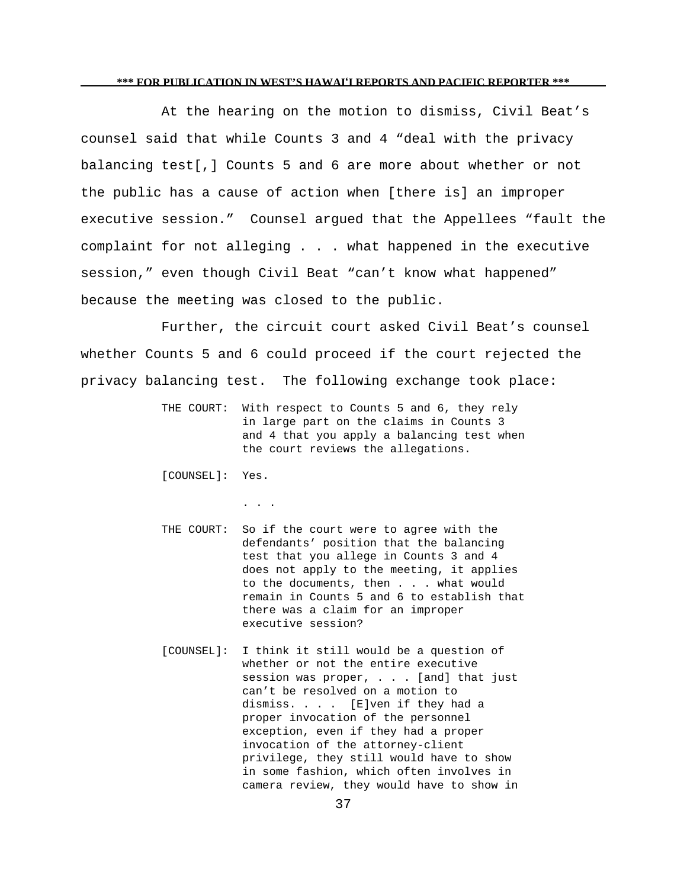At the hearing on the motion to dismiss, Civil Beat's counsel said that while Counts 3 and 4 "deal with the privacy balancing test[,] Counts 5 and 6 are more about whether or not the public has a cause of action when [there is] an improper executive session." Counsel argued that the Appellees "fault the complaint for not alleging . . . what happened in the executive session," even though Civil Beat "can't know what happened" because the meeting was closed to the public.

Further, the circuit court asked Civil Beat's counsel whether Counts 5 and 6 could proceed if the court rejected the privacy balancing test. The following exchange took place:

> THE COURT: With respect to Counts 5 and 6, they rely in large part on the claims in Counts 3 and 4 that you apply a balancing test when the court reviews the allegations.

[COUNSEL]: Yes.

. . .

- THE COURT: So if the court were to agree with the defendants' position that the balancing test that you allege in Counts 3 and 4 does not apply to the meeting, it applies to the documents, then . . . what would remain in Counts 5 and 6 to establish that there was a claim for an improper executive session?
- [COUNSEL]: I think it still would be a question of whether or not the entire executive session was proper, . . . [and] that just can't be resolved on a motion to dismiss. . . . [E]ven if they had a proper invocation of the personnel exception, even if they had a proper invocation of the attorney-client privilege, they still would have to show in some fashion, which often involves in camera review, they would have to show in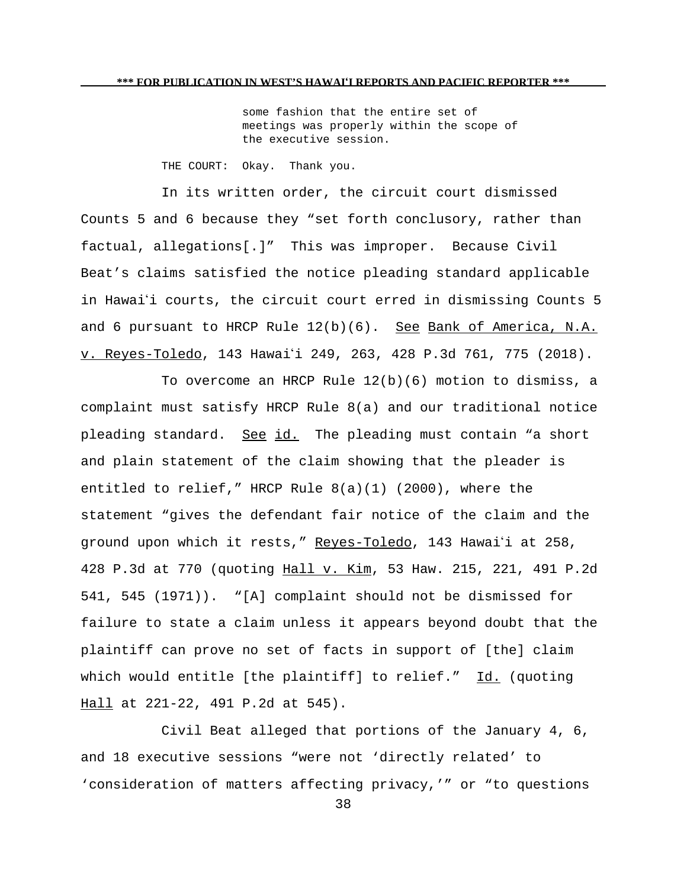some fashion that the entire set of meetings was properly within the scope of the executive session.

THE COURT: Okay. Thank you.

In its written order, the circuit court dismissed Counts 5 and 6 because they "set forth conclusory, rather than factual, allegations[.]" This was improper. Because Civil Beat's claims satisfied the notice pleading standard applicable in Hawai'i courts, the circuit court erred in dismissing Counts 5 and 6 pursuant to HRCP Rule  $12(b)(6)$ . See Bank of America, N.A. v. Reyes-Toledo, 143 Hawai'i 249, 263, 428 P.3d 761, 775 (2018).

To overcome an HRCP Rule 12(b)(6) motion to dismiss, a complaint must satisfy HRCP Rule 8(a) and our traditional notice pleading standard. See id. The pleading must contain "a short and plain statement of the claim showing that the pleader is entitled to relief," HRCP Rule  $8(a)(1)$  (2000), where the statement "gives the defendant fair notice of the claim and the ground upon which it rests," Reyes-Toledo, 143 Hawai'i at 258, 428 P.3d at 770 (quoting Hall v. Kim, 53 Haw. 215, 221, 491 P.2d 541, 545 (1971)). "[A] complaint should not be dismissed for failure to state a claim unless it appears beyond doubt that the plaintiff can prove no set of facts in support of [the] claim which would entitle [the plaintiff] to relief." Id. (quoting Hall at 221-22, 491 P.2d at 545).

Civil Beat alleged that portions of the January 4, 6, and 18 executive sessions "were not 'directly related' to 'consideration of matters affecting privacy,'" or "to questions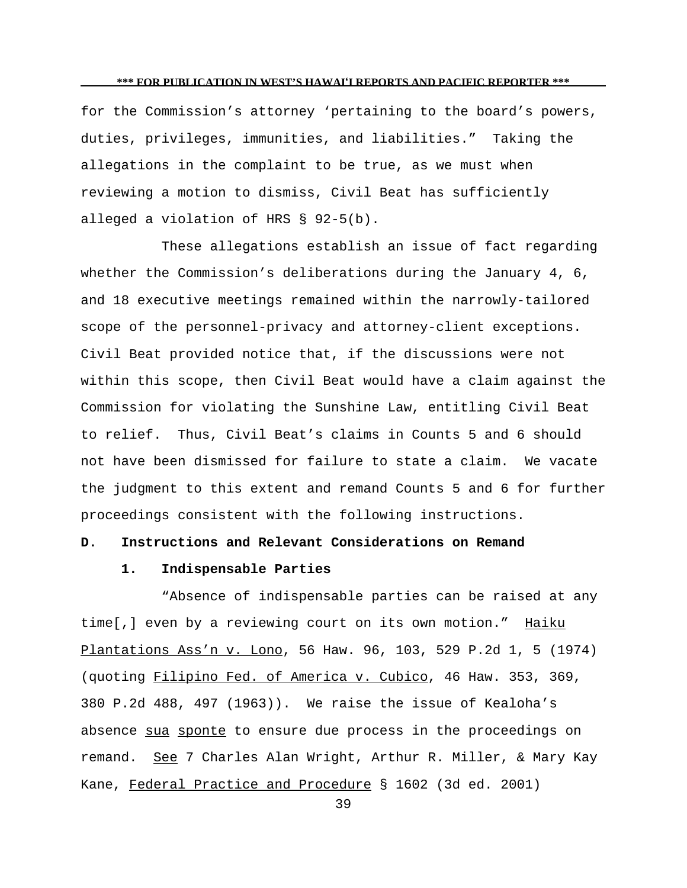for the Commission's attorney 'pertaining to the board's powers, duties, privileges, immunities, and liabilities." Taking the allegations in the complaint to be true, as we must when reviewing a motion to dismiss, Civil Beat has sufficiently alleged a violation of HRS § 92-5(b).

These allegations establish an issue of fact regarding whether the Commission's deliberations during the January 4, 6, and 18 executive meetings remained within the narrowly-tailored scope of the personnel-privacy and attorney-client exceptions. Civil Beat provided notice that, if the discussions were not within this scope, then Civil Beat would have a claim against the Commission for violating the Sunshine Law, entitling Civil Beat to relief. Thus, Civil Beat's claims in Counts 5 and 6 should not have been dismissed for failure to state a claim. We vacate the judgment to this extent and remand Counts 5 and 6 for further proceedings consistent with the following instructions.

# **D. Instructions and Relevant Considerations on Remand**

## **1. Indispensable Parties**

"Absence of indispensable parties can be raised at any time[,] even by a reviewing court on its own motion." Haiku Plantations Ass'n v. Lono, 56 Haw. 96, 103, 529 P.2d 1, 5 (1974) (quoting Filipino Fed. of America v. Cubico, 46 Haw. 353, 369, 380 P.2d 488, 497 (1963)). We raise the issue of Kealoha's absence sua sponte to ensure due process in the proceedings on remand. See 7 Charles Alan Wright, Arthur R. Miller, & Mary Kay Kane, Federal Practice and Procedure § 1602 (3d ed. 2001)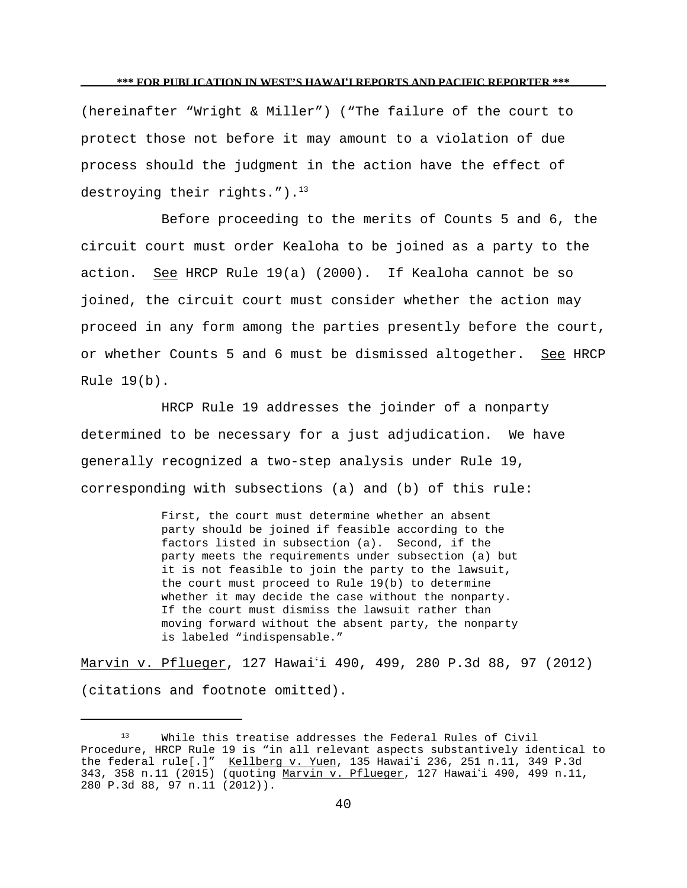(hereinafter "Wright & Miller") ("The failure of the court to protect those not before it may amount to a violation of due process should the judgment in the action have the effect of destroying their rights."). $^{13}$ 

Before proceeding to the merits of Counts 5 and 6, the circuit court must order Kealoha to be joined as a party to the action. See HRCP Rule 19(a) (2000). If Kealoha cannot be so joined, the circuit court must consider whether the action may proceed in any form among the parties presently before the court, or whether Counts 5 and 6 must be dismissed altogether. See HRCP Rule 19(b).

HRCP Rule 19 addresses the joinder of a nonparty determined to be necessary for a just adjudication. We have generally recognized a two-step analysis under Rule 19, corresponding with subsections (a) and (b) of this rule:

> First, the court must determine whether an absent party should be joined if feasible according to the factors listed in subsection (a). Second, if the party meets the requirements under subsection (a) but it is not feasible to join the party to the lawsuit, the court must proceed to Rule 19(b) to determine whether it may decide the case without the nonparty. If the court must dismiss the lawsuit rather than moving forward without the absent party, the nonparty is labeled "indispensable."

Marvin v. Pflueger, 127 Hawaii 490, 499, 280 P.3d 88, 97 (2012) (citations and footnote omitted).

<sup>13</sup> While this treatise addresses the Federal Rules of Civil Procedure, HRCP Rule 19 is "in all relevant aspects substantively identical to the federal rule[.]" Kellberg v. Yuen, 135 Hawai'i 236, 251 n.11, 349 P.3d 343, 358 n.11 (2015) (quoting Marvin v. Pflueger, 127 Hawai'i 490, 499 n.11, 280 P.3d 88, 97 n.11 (2012)).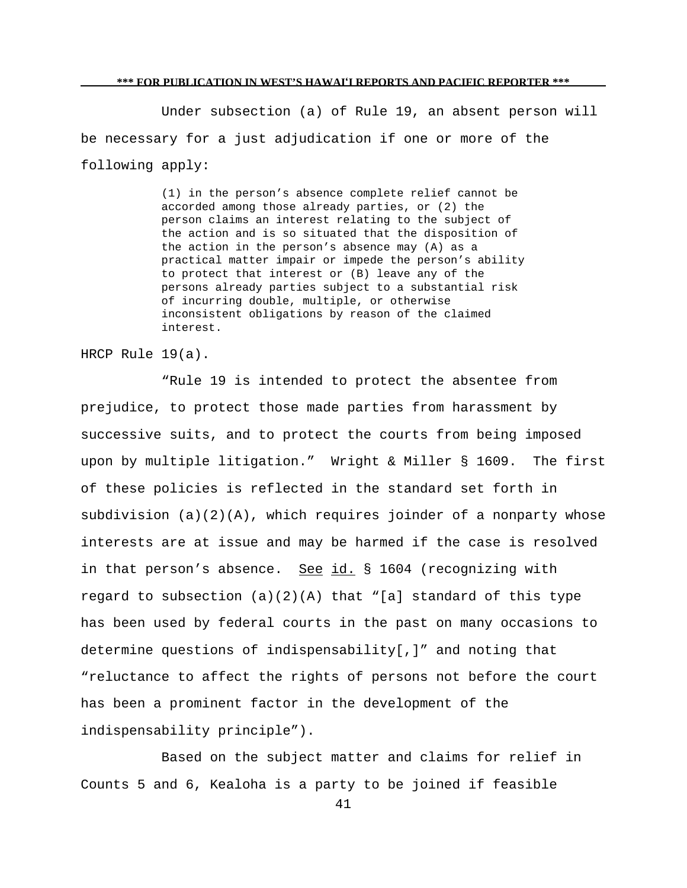Under subsection (a) of Rule 19, an absent person will be necessary for a just adjudication if one or more of the following apply:

> (1) in the person's absence complete relief cannot be accorded among those already parties, or (2) the person claims an interest relating to the subject of the action and is so situated that the disposition of the action in the person's absence may (A) as a practical matter impair or impede the person's ability to protect that interest or (B) leave any of the persons already parties subject to a substantial risk of incurring double, multiple, or otherwise inconsistent obligations by reason of the claimed interest.

HRCP Rule 19(a).

"Rule 19 is intended to protect the absentee from prejudice, to protect those made parties from harassment by successive suits, and to protect the courts from being imposed upon by multiple litigation." Wright & Miller § 1609. The first of these policies is reflected in the standard set forth in subdivision  $(a)(2)(A)$ , which requires joinder of a nonparty whose interests are at issue and may be harmed if the case is resolved in that person's absence. See id. § 1604 (recognizing with regard to subsection  $(a)(2)(A)$  that "[a] standard of this type has been used by federal courts in the past on many occasions to determine questions of indispensability[,]" and noting that "reluctance to affect the rights of persons not before the court has been a prominent factor in the development of the indispensability principle").

Based on the subject matter and claims for relief in Counts 5 and 6, Kealoha is a party to be joined if feasible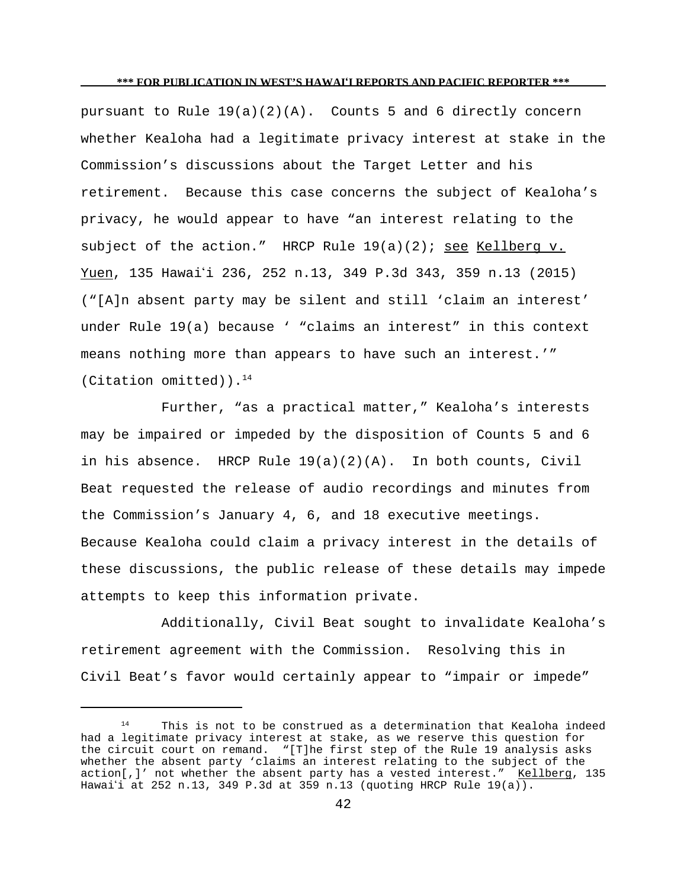pursuant to Rule  $19(a)(2)(A)$ . Counts 5 and 6 directly concern whether Kealoha had a legitimate privacy interest at stake in the Commission's discussions about the Target Letter and his retirement. Because this case concerns the subject of Kealoha's privacy, he would appear to have "an interest relating to the subject of the action." HRCP Rule  $19(a)(2)$ ; see Kellberg v. Yuen, 135 Hawai'i 236, 252 n.13, 349 P.3d 343, 359 n.13 (2015) ("[A]n absent party may be silent and still 'claim an interest' under Rule 19(a) because ' "claims an interest" in this context means nothing more than appears to have such an interest.'" (Citation omitted)).<sup>14</sup>

Further, "as a practical matter," Kealoha's interests may be impaired or impeded by the disposition of Counts 5 and 6 in his absence. HRCP Rule  $19(a)(2)(A)$ . In both counts, Civil Beat requested the release of audio recordings and minutes from the Commission's January 4, 6, and 18 executive meetings. Because Kealoha could claim a privacy interest in the details of these discussions, the public release of these details may impede attempts to keep this information private.

Additionally, Civil Beat sought to invalidate Kealoha's retirement agreement with the Commission. Resolving this in Civil Beat's favor would certainly appear to "impair or impede"

 $14$  This is not to be construed as a determination that Kealoha indeed had a legitimate privacy interest at stake, as we reserve this question for the circuit court on remand. "[T]he first step of the Rule 19 analysis asks whether the absent party 'claims an interest relating to the subject of the action[,]' not whether the absent party has a vested interest." Kellberg, 135 Hawai'i at 252 n.13, 349 P.3d at 359 n.13 (quoting HRCP Rule 19(a)).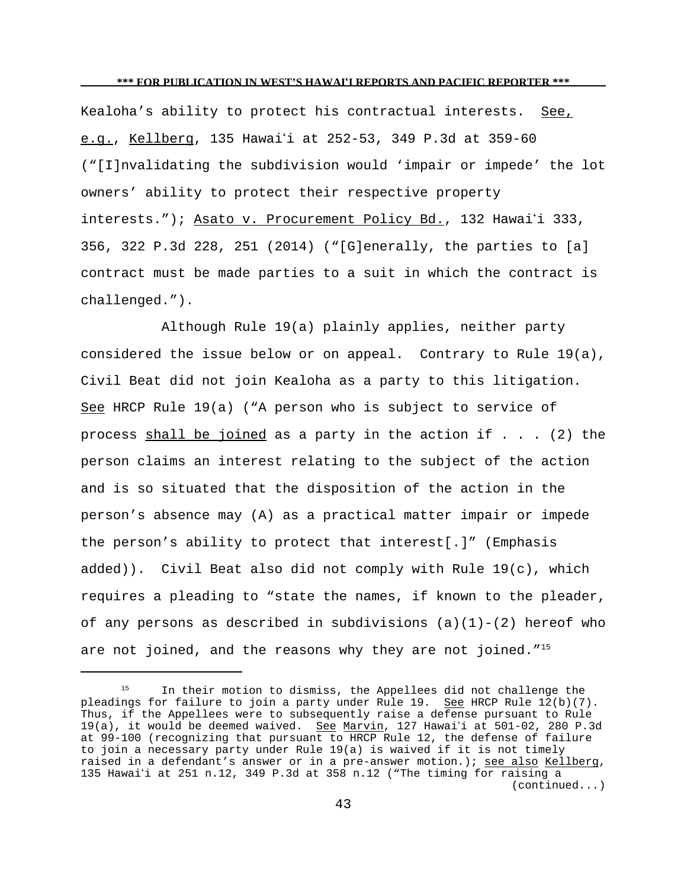Kealoha's ability to protect his contractual interests. See, e.g., Kellberg, 135 Hawaii at 252-53, 349 P.3d at 359-60 ("[I]nvalidating the subdivision would 'impair or impede' the lot owners' ability to protect their respective property interests."); Asato v. Procurement Policy Bd., 132 Hawai'i 333, 356, 322 P.3d 228, 251 (2014) ("[G]enerally, the parties to [a] contract must be made parties to a suit in which the contract is challenged.").

Although Rule 19(a) plainly applies, neither party considered the issue below or on appeal. Contrary to Rule 19(a), Civil Beat did not join Kealoha as a party to this litigation. See HRCP Rule 19(a) ("A person who is subject to service of process shall be joined as a party in the action if  $\ldots$  (2) the person claims an interest relating to the subject of the action and is so situated that the disposition of the action in the person's absence may (A) as a practical matter impair or impede the person's ability to protect that interest[.]" (Emphasis added)). Civil Beat also did not comply with Rule 19(c), which requires a pleading to "state the names, if known to the pleader, of any persons as described in subdivisions  $(a)(1)-(2)$  hereof who are not joined, and the reasons why they are not joined."<sup>15</sup>

<sup>&</sup>lt;sup>15</sup> In their motion to dismiss, the Appellees did not challenge the pleadings for failure to join a party under Rule 19. See HRCP Rule 12(b)(7). Thus, if the Appellees were to subsequently raise a defense pursuant to Rule 19(a), it would be deemed waived. See Marvin, 127 Hawai'i at 501-02, 280 P.3d at 99-100 (recognizing that pursuant to HRCP Rule 12, the defense of failure to join a necessary party under Rule 19(a) is waived if it is not timely raised in a defendant's answer or in a pre-answer motion.); see also Kellberg, 135 Hawaii at 251 n.12, 349 P.3d at 358 n.12 ("The timing for raising a (continued...)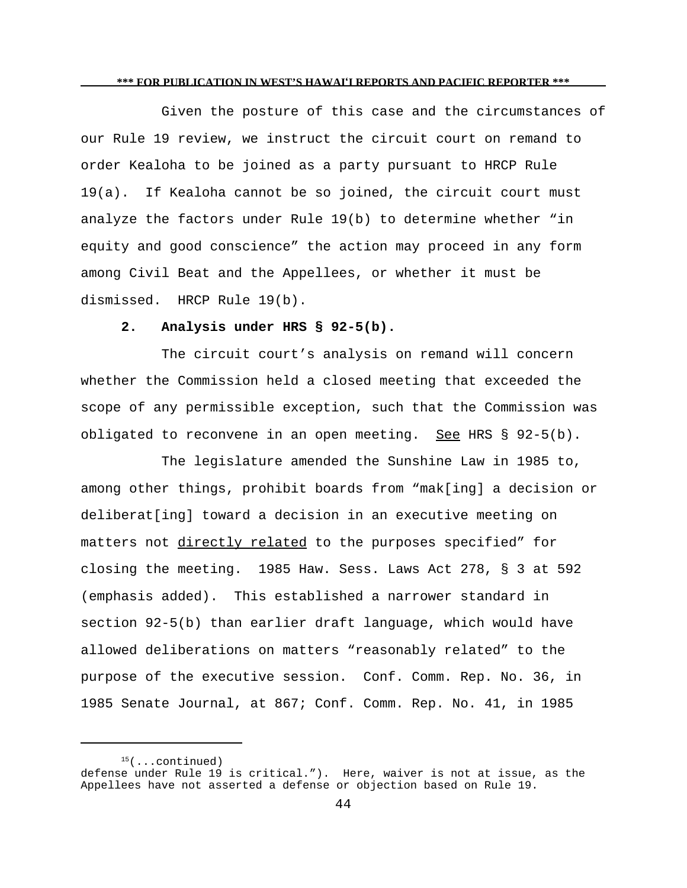Given the posture of this case and the circumstances of our Rule 19 review, we instruct the circuit court on remand to order Kealoha to be joined as a party pursuant to HRCP Rule 19(a). If Kealoha cannot be so joined, the circuit court must analyze the factors under Rule 19(b) to determine whether "in equity and good conscience" the action may proceed in any form among Civil Beat and the Appellees, or whether it must be dismissed. HRCP Rule 19(b).

## **2. Analysis under HRS § 92-5(b).**

The circuit court's analysis on remand will concern whether the Commission held a closed meeting that exceeded the scope of any permissible exception, such that the Commission was obligated to reconvene in an open meeting. See HRS § 92-5(b).

The legislature amended the Sunshine Law in 1985 to, among other things, prohibit boards from "mak[ing] a decision or deliberat[ing] toward a decision in an executive meeting on matters not directly related to the purposes specified" for closing the meeting. 1985 Haw. Sess. Laws Act 278, § 3 at 592 (emphasis added). This established a narrower standard in section 92-5(b) than earlier draft language, which would have allowed deliberations on matters "reasonably related" to the purpose of the executive session. Conf. Comm. Rep. No. 36, in 1985 Senate Journal, at 867; Conf. Comm. Rep. No. 41, in 1985

 $15$ (...continued) defense under Rule 19 is critical."). Here, waiver is not at issue, as the Appellees have not asserted a defense or objection based on Rule 19.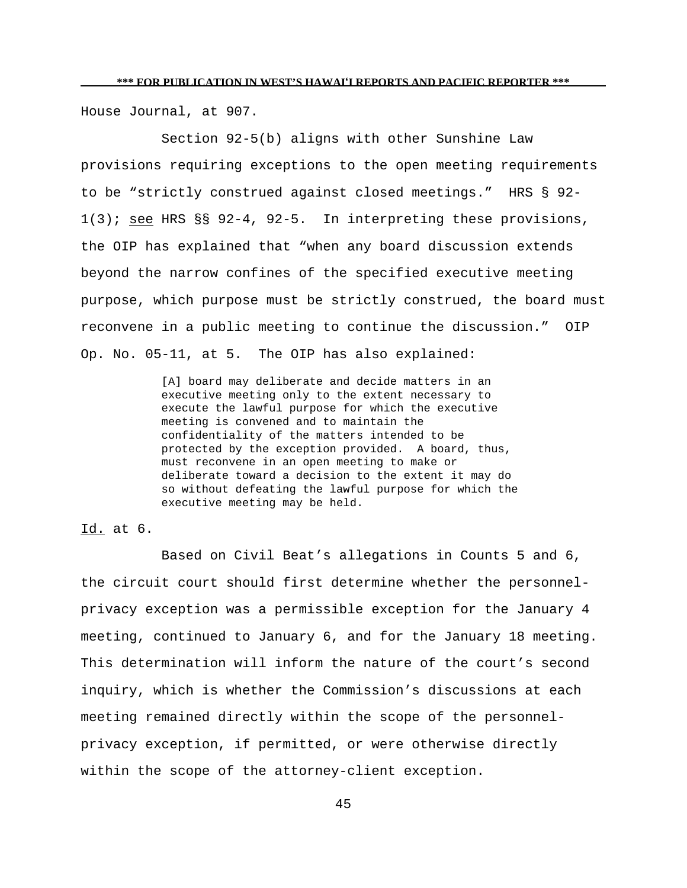House Journal, at 907.

Section 92-5(b) aligns with other Sunshine Law provisions requiring exceptions to the open meeting requirements to be "strictly construed against closed meetings." HRS § 92- 1(3); see HRS §§ 92-4, 92-5. In interpreting these provisions, the OIP has explained that "when any board discussion extends beyond the narrow confines of the specified executive meeting purpose, which purpose must be strictly construed, the board must reconvene in a public meeting to continue the discussion." OIP Op. No. 05-11, at 5. The OIP has also explained:

> [A] board may deliberate and decide matters in an executive meeting only to the extent necessary to execute the lawful purpose for which the executive meeting is convened and to maintain the confidentiality of the matters intended to be protected by the exception provided. A board, thus, must reconvene in an open meeting to make or deliberate toward a decision to the extent it may do so without defeating the lawful purpose for which the executive meeting may be held.

Id. at 6.

Based on Civil Beat's allegations in Counts 5 and 6, the circuit court should first determine whether the personnelprivacy exception was a permissible exception for the January 4 meeting, continued to January 6, and for the January 18 meeting. This determination will inform the nature of the court's second inquiry, which is whether the Commission's discussions at each meeting remained directly within the scope of the personnelprivacy exception, if permitted, or were otherwise directly within the scope of the attorney-client exception.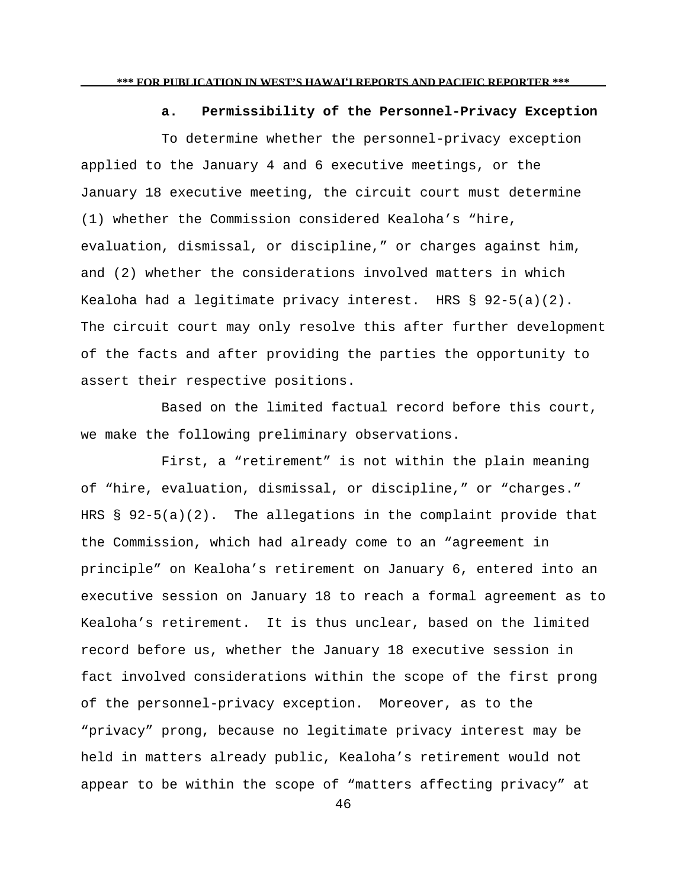#### **a. Permissibility of the Personnel-Privacy Exception**

To determine whether the personnel-privacy exception applied to the January 4 and 6 executive meetings, or the January 18 executive meeting, the circuit court must determine (1) whether the Commission considered Kealoha's "hire, evaluation, dismissal, or discipline," or charges against him, and (2) whether the considerations involved matters in which Kealoha had a legitimate privacy interest. HRS § 92-5(a)(2). The circuit court may only resolve this after further development of the facts and after providing the parties the opportunity to assert their respective positions.

Based on the limited factual record before this court, we make the following preliminary observations.

First, a "retirement" is not within the plain meaning of "hire, evaluation, dismissal, or discipline," or "charges." HRS § 92-5(a)(2). The allegations in the complaint provide that the Commission, which had already come to an "agreement in principle" on Kealoha's retirement on January 6, entered into an executive session on January 18 to reach a formal agreement as to Kealoha's retirement. It is thus unclear, based on the limited record before us, whether the January 18 executive session in fact involved considerations within the scope of the first prong of the personnel-privacy exception. Moreover, as to the "privacy" prong, because no legitimate privacy interest may be held in matters already public, Kealoha's retirement would not appear to be within the scope of "matters affecting privacy" at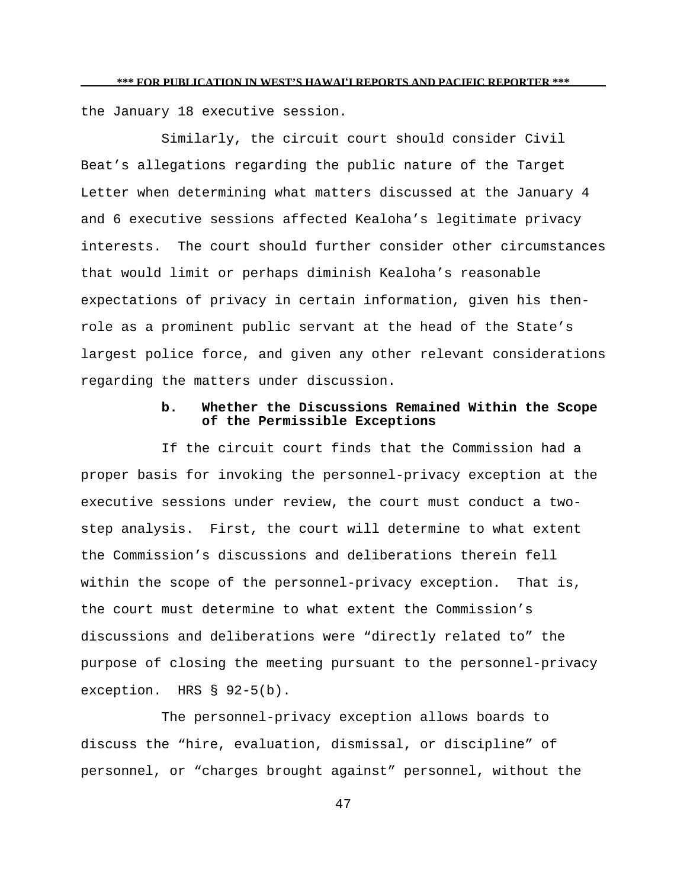the January 18 executive session.

Similarly, the circuit court should consider Civil Beat's allegations regarding the public nature of the Target Letter when determining what matters discussed at the January 4 and 6 executive sessions affected Kealoha's legitimate privacy interests. The court should further consider other circumstances that would limit or perhaps diminish Kealoha's reasonable expectations of privacy in certain information, given his thenrole as a prominent public servant at the head of the State's largest police force, and given any other relevant considerations regarding the matters under discussion.

## **b. Whether the Discussions Remained Within the Scope of the Permissible Exceptions**

If the circuit court finds that the Commission had a proper basis for invoking the personnel-privacy exception at the executive sessions under review, the court must conduct a twostep analysis. First, the court will determine to what extent the Commission's discussions and deliberations therein fell within the scope of the personnel-privacy exception. That is, the court must determine to what extent the Commission's discussions and deliberations were "directly related to" the purpose of closing the meeting pursuant to the personnel-privacy exception. HRS § 92-5(b).

The personnel-privacy exception allows boards to discuss the "hire, evaluation, dismissal, or discipline" of personnel, or "charges brought against" personnel, without the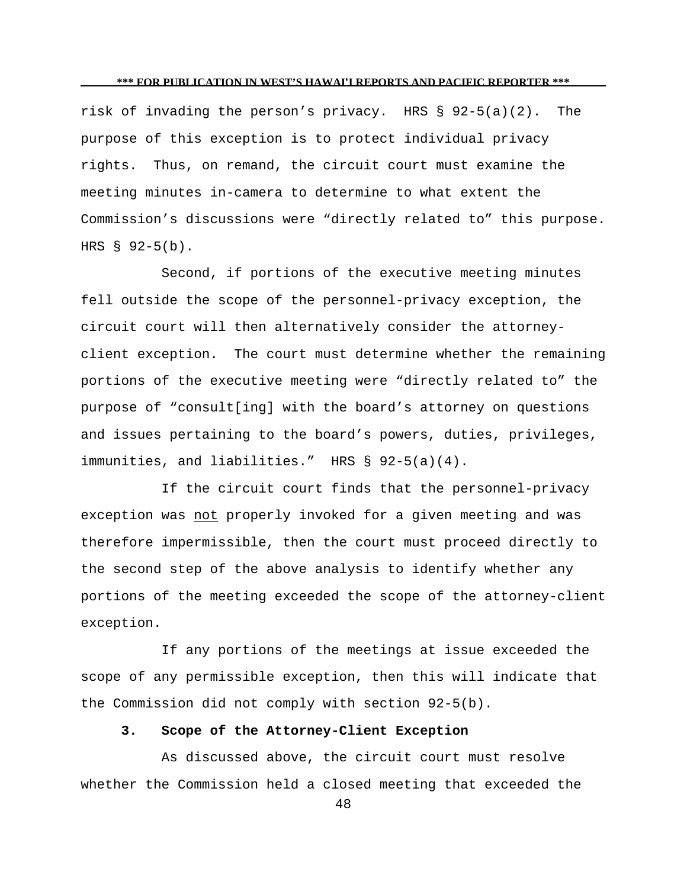risk of invading the person's privacy. HRS § 92-5(a)(2). The purpose of this exception is to protect individual privacy rights. Thus, on remand, the circuit court must examine the meeting minutes in-camera to determine to what extent the Commission's discussions were "directly related to" this purpose. HRS § 92-5(b).

Second, if portions of the executive meeting minutes fell outside the scope of the personnel-privacy exception, the circuit court will then alternatively consider the attorneyclient exception. The court must determine whether the remaining portions of the executive meeting were "directly related to" the purpose of "consult[ing] with the board's attorney on questions and issues pertaining to the board's powers, duties, privileges, immunities, and liabilities." HRS § 92-5(a)(4).

If the circuit court finds that the personnel-privacy exception was not properly invoked for a given meeting and was therefore impermissible, then the court must proceed directly to the second step of the above analysis to identify whether any portions of the meeting exceeded the scope of the attorney-client exception.

If any portions of the meetings at issue exceeded the scope of any permissible exception, then this will indicate that the Commission did not comply with section 92-5(b).

## **3. Scope of the Attorney-Client Exception**

As discussed above, the circuit court must resolve whether the Commission held a closed meeting that exceeded the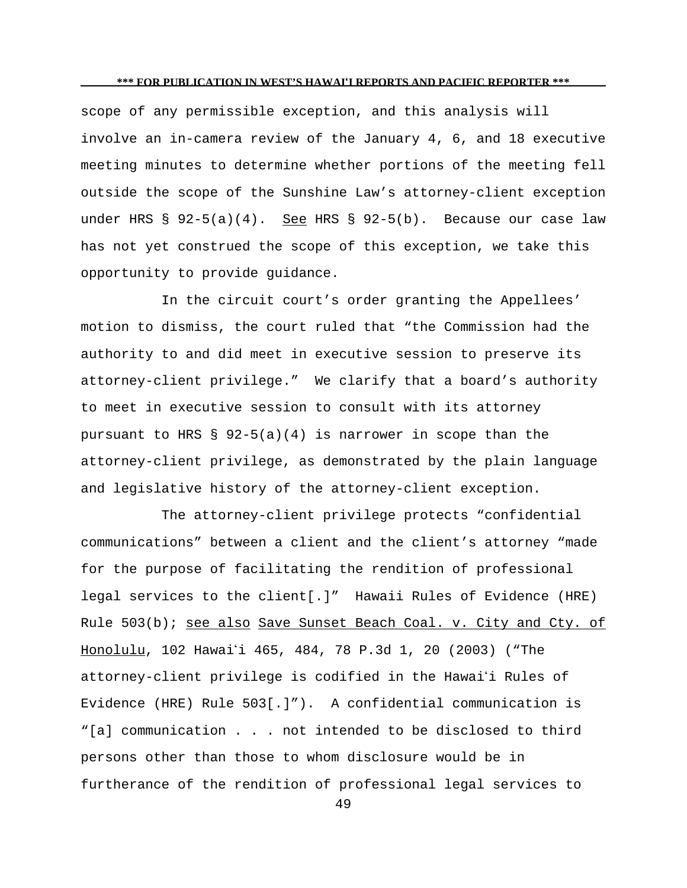scope of any permissible exception, and this analysis will involve an in-camera review of the January 4, 6, and 18 executive meeting minutes to determine whether portions of the meeting fell outside the scope of the Sunshine Law's attorney-client exception under HRS  $\S$  92-5(a)(4). See HRS  $\S$  92-5(b). Because our case law has not yet construed the scope of this exception, we take this opportunity to provide guidance.

In the circuit court's order granting the Appellees' motion to dismiss, the court ruled that "the Commission had the authority to and did meet in executive session to preserve its attorney-client privilege." We clarify that a board's authority to meet in executive session to consult with its attorney pursuant to HRS §  $92-5(a)(4)$  is narrower in scope than the attorney-client privilege, as demonstrated by the plain language and legislative history of the attorney-client exception.

The attorney-client privilege protects "confidential communications" between a client and the client's attorney "made for the purpose of facilitating the rendition of professional legal services to the client[.]" Hawaii Rules of Evidence (HRE) Rule 503(b); see also Save Sunset Beach Coal. v. City and Cty. of Honolulu, 102 Hawai'i 465, 484, 78 P.3d 1, 20 (2003) ("The attorney-client privilege is codified in the Hawaii Rules of Evidence (HRE) Rule 503[.]"). A confidential communication is "[a] communication . . . not intended to be disclosed to third persons other than those to whom disclosure would be in furtherance of the rendition of professional legal services to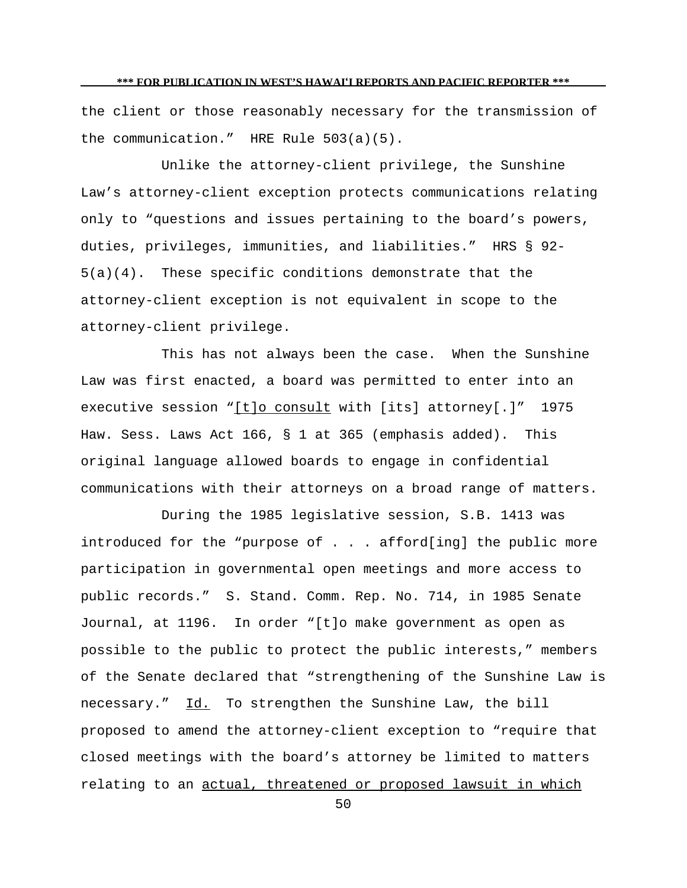the client or those reasonably necessary for the transmission of the communication." HRE Rule 503(a)(5).

Unlike the attorney-client privilege, the Sunshine Law's attorney-client exception protects communications relating only to "questions and issues pertaining to the board's powers, duties, privileges, immunities, and liabilities." HRS § 92- 5(a)(4). These specific conditions demonstrate that the attorney-client exception is not equivalent in scope to the attorney-client privilege.

This has not always been the case. When the Sunshine Law was first enacted, a board was permitted to enter into an executive session "[t]o consult with [its] attorney[.]" 1975 Haw. Sess. Laws Act 166, § 1 at 365 (emphasis added). This original language allowed boards to engage in confidential communications with their attorneys on a broad range of matters.

During the 1985 legislative session, S.B. 1413 was introduced for the "purpose of . . . afford[ing] the public more participation in governmental open meetings and more access to public records." S. Stand. Comm. Rep. No. 714, in 1985 Senate Journal, at 1196. In order "[t]o make government as open as possible to the public to protect the public interests," members of the Senate declared that "strengthening of the Sunshine Law is necessary." Id. To strengthen the Sunshine Law, the bill proposed to amend the attorney-client exception to "require that closed meetings with the board's attorney be limited to matters relating to an actual, threatened or proposed lawsuit in which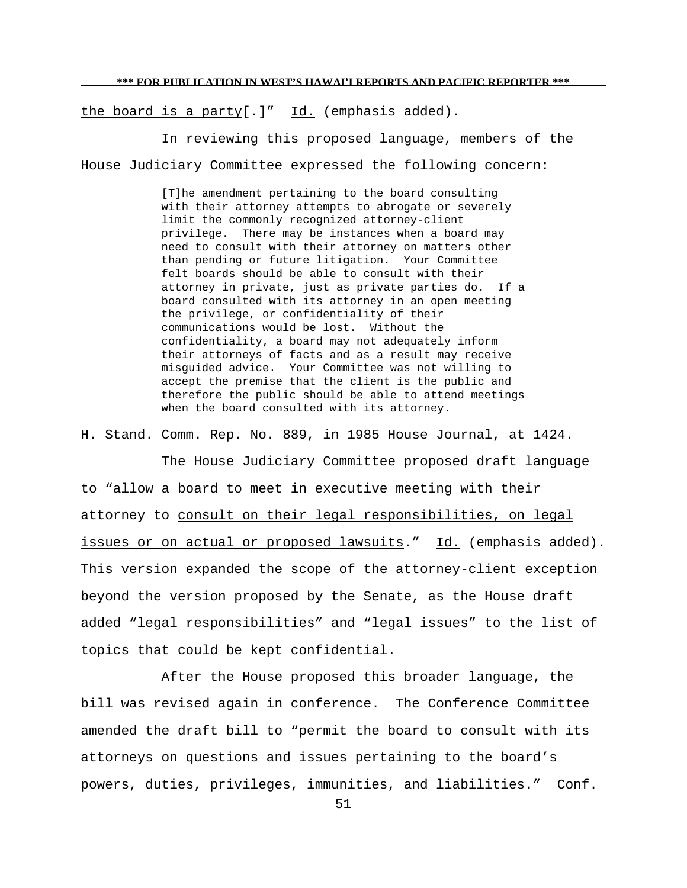the board is a party[.]"  $Id.$  (emphasis added).

In reviewing this proposed language, members of the House Judiciary Committee expressed the following concern:

> [T]he amendment pertaining to the board consulting with their attorney attempts to abrogate or severely limit the commonly recognized attorney-client privilege. There may be instances when a board may need to consult with their attorney on matters other than pending or future litigation. Your Committee felt boards should be able to consult with their attorney in private, just as private parties do. If a board consulted with its attorney in an open meeting the privilege, or confidentiality of their communications would be lost. Without the confidentiality, a board may not adequately inform their attorneys of facts and as a result may receive misguided advice. Your Committee was not willing to accept the premise that the client is the public and therefore the public should be able to attend meetings when the board consulted with its attorney.

H. Stand. Comm. Rep. No. 889, in 1985 House Journal, at 1424.

The House Judiciary Committee proposed draft language to "allow a board to meet in executive meeting with their attorney to consult on their legal responsibilities, on legal issues or on actual or proposed lawsuits." Id. (emphasis added). This version expanded the scope of the attorney-client exception beyond the version proposed by the Senate, as the House draft added "legal responsibilities" and "legal issues" to the list of topics that could be kept confidential.

After the House proposed this broader language, the bill was revised again in conference. The Conference Committee amended the draft bill to "permit the board to consult with its attorneys on questions and issues pertaining to the board's powers, duties, privileges, immunities, and liabilities." Conf.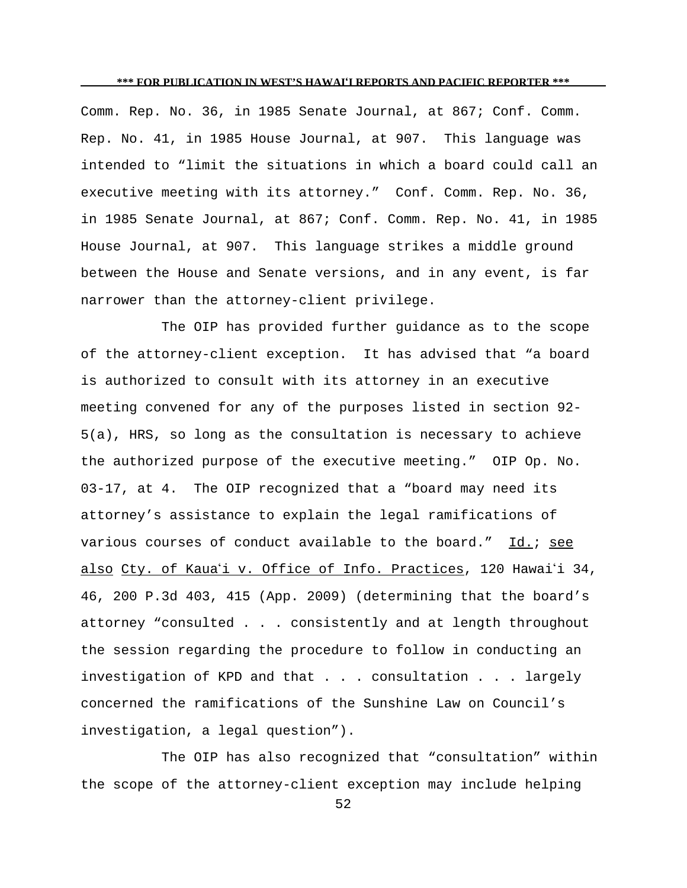Comm. Rep. No. 36, in 1985 Senate Journal, at 867; Conf. Comm. Rep. No. 41, in 1985 House Journal, at 907. This language was intended to "limit the situations in which a board could call an executive meeting with its attorney." Conf. Comm. Rep. No. 36, in 1985 Senate Journal, at 867; Conf. Comm. Rep. No. 41, in 1985 House Journal, at 907. This language strikes a middle ground between the House and Senate versions, and in any event, is far narrower than the attorney-client privilege.

The OIP has provided further guidance as to the scope of the attorney-client exception. It has advised that "a board is authorized to consult with its attorney in an executive meeting convened for any of the purposes listed in section 92- 5(a), HRS, so long as the consultation is necessary to achieve the authorized purpose of the executive meeting." OIP Op. No. 03-17, at 4. The OIP recognized that a "board may need its attorney's assistance to explain the legal ramifications of various courses of conduct available to the board."  $Id.$ ; see also Cty. of Kaua'i v. Office of Info. Practices, 120 Hawai'i 34, 46, 200 P.3d 403, 415 (App. 2009) (determining that the board's attorney "consulted . . . consistently and at length throughout the session regarding the procedure to follow in conducting an investigation of KPD and that . . . consultation . . . largely concerned the ramifications of the Sunshine Law on Council's investigation, a legal question").

The OIP has also recognized that "consultation" within the scope of the attorney-client exception may include helping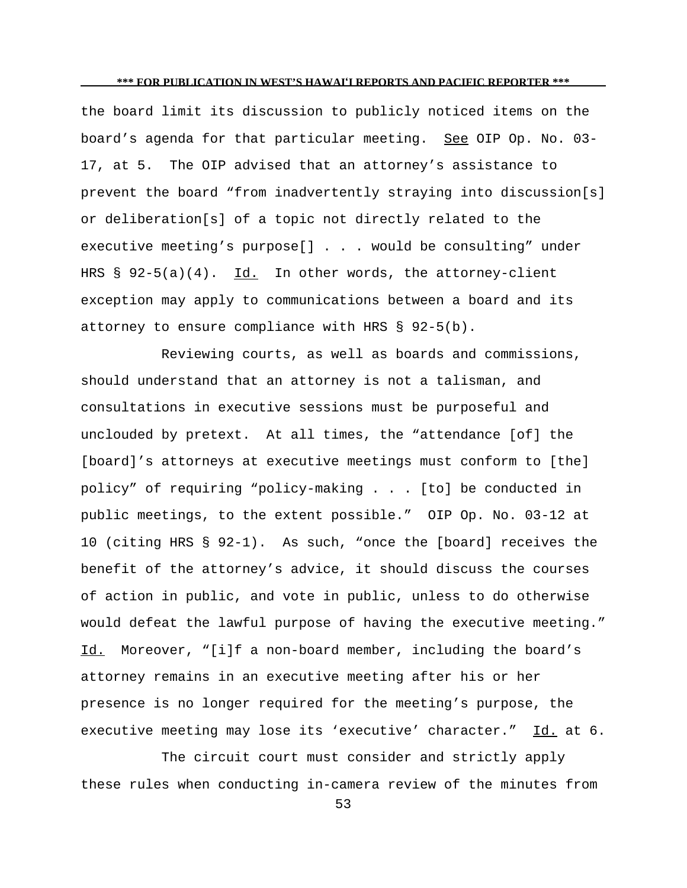the board limit its discussion to publicly noticed items on the board's agenda for that particular meeting. See OIP Op. No. 03-17, at 5. The OIP advised that an attorney's assistance to prevent the board "from inadvertently straying into discussion[s] or deliberation[s] of a topic not directly related to the executive meeting's purpose[] . . . would be consulting" under HRS  $\S$  92-5(a)(4). Id. In other words, the attorney-client exception may apply to communications between a board and its attorney to ensure compliance with HRS § 92-5(b).

Reviewing courts, as well as boards and commissions, should understand that an attorney is not a talisman, and consultations in executive sessions must be purposeful and unclouded by pretext. At all times, the "attendance [of] the [board]'s attorneys at executive meetings must conform to [the] policy" of requiring "policy-making . . . [to] be conducted in public meetings, to the extent possible." OIP Op. No. 03-12 at 10 (citing HRS § 92-1). As such, "once the [board] receives the benefit of the attorney's advice, it should discuss the courses of action in public, and vote in public, unless to do otherwise would defeat the lawful purpose of having the executive meeting." Id. Moreover, "[i]f a non-board member, including the board's attorney remains in an executive meeting after his or her presence is no longer required for the meeting's purpose, the executive meeting may lose its 'executive' character." Id. at 6.

The circuit court must consider and strictly apply these rules when conducting in-camera review of the minutes from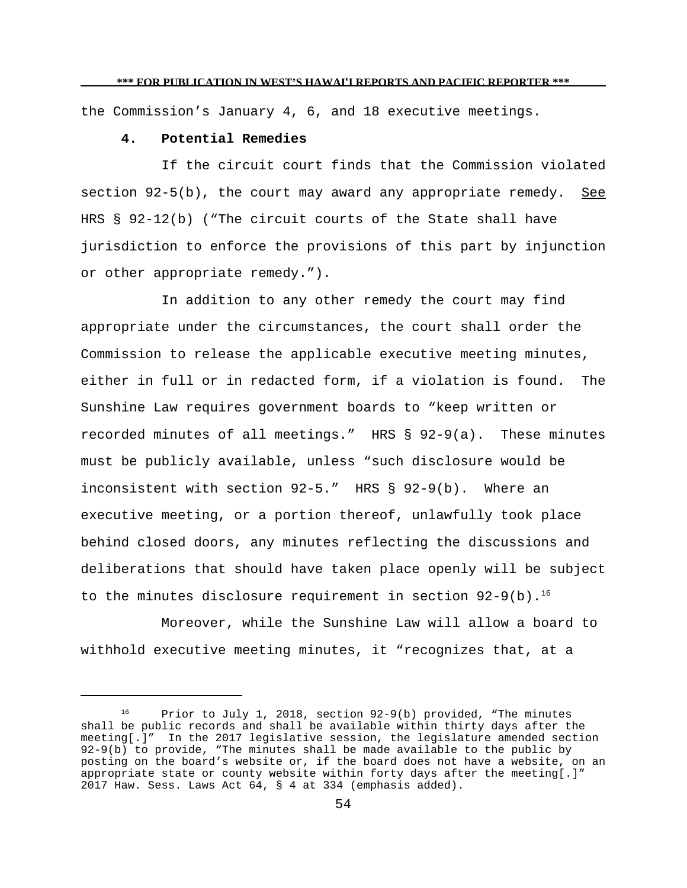the Commission's January 4, 6, and 18 executive meetings.

## **4. Potential Remedies**

If the circuit court finds that the Commission violated section 92-5(b), the court may award any appropriate remedy. See HRS § 92-12(b) ("The circuit courts of the State shall have jurisdiction to enforce the provisions of this part by injunction or other appropriate remedy.").

In addition to any other remedy the court may find appropriate under the circumstances, the court shall order the Commission to release the applicable executive meeting minutes, either in full or in redacted form, if a violation is found. The Sunshine Law requires government boards to "keep written or recorded minutes of all meetings." HRS § 92-9(a). These minutes must be publicly available, unless "such disclosure would be inconsistent with section 92-5." HRS § 92-9(b). Where an executive meeting, or a portion thereof, unlawfully took place behind closed doors, any minutes reflecting the discussions and deliberations that should have taken place openly will be subject to the minutes disclosure requirement in section  $92-9(b)$ .<sup>16</sup>

Moreover, while the Sunshine Law will allow a board to withhold executive meeting minutes, it "recognizes that, at a

<sup>&</sup>lt;sup>16</sup> Prior to July 1, 2018, section  $92-9(b)$  provided, "The minutes shall be public records and shall be available within thirty days after the meeting[.]" In the 2017 legislative session, the legislature amended section 92-9(b) to provide, "The minutes shall be made available to the public by posting on the board's website or, if the board does not have a website, on an appropriate state or county website within forty days after the meeting[.]" 2017 Haw. Sess. Laws Act 64, § 4 at 334 (emphasis added).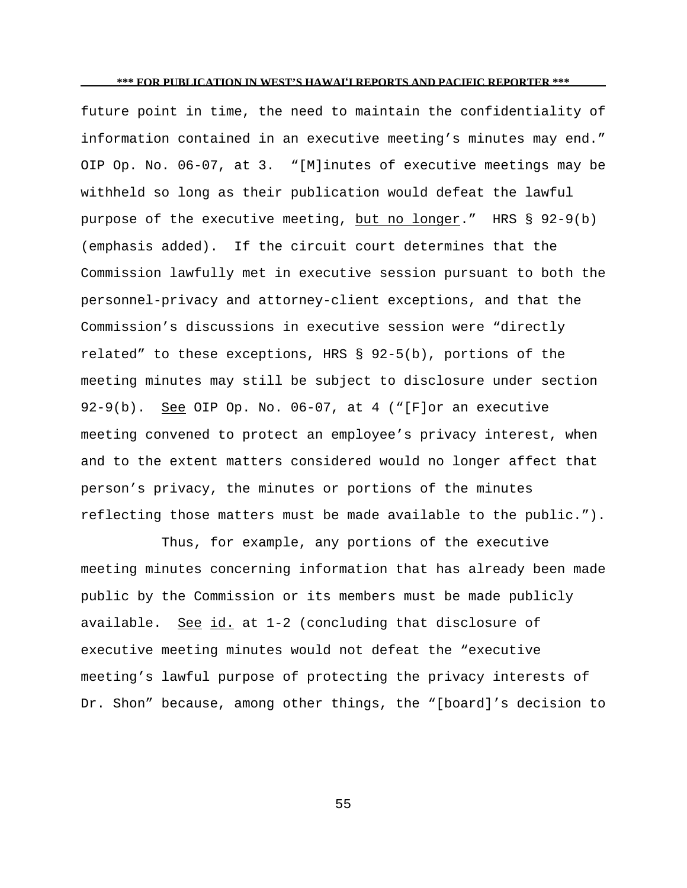future point in time, the need to maintain the confidentiality of information contained in an executive meeting's minutes may end." OIP Op. No. 06-07, at 3. "[M]inutes of executive meetings may be withheld so long as their publication would defeat the lawful purpose of the executive meeting, but no longer." HRS  $\S$  92-9(b) (emphasis added). If the circuit court determines that the Commission lawfully met in executive session pursuant to both the personnel-privacy and attorney-client exceptions, and that the Commission's discussions in executive session were "directly related" to these exceptions, HRS § 92-5(b), portions of the meeting minutes may still be subject to disclosure under section 92-9(b). See OIP Op. No. 06-07, at 4 ("[F]or an executive meeting convened to protect an employee's privacy interest, when and to the extent matters considered would no longer affect that person's privacy, the minutes or portions of the minutes reflecting those matters must be made available to the public.").

Thus, for example, any portions of the executive meeting minutes concerning information that has already been made public by the Commission or its members must be made publicly available. See id. at 1-2 (concluding that disclosure of executive meeting minutes would not defeat the "executive meeting's lawful purpose of protecting the privacy interests of Dr. Shon" because, among other things, the "[board]'s decision to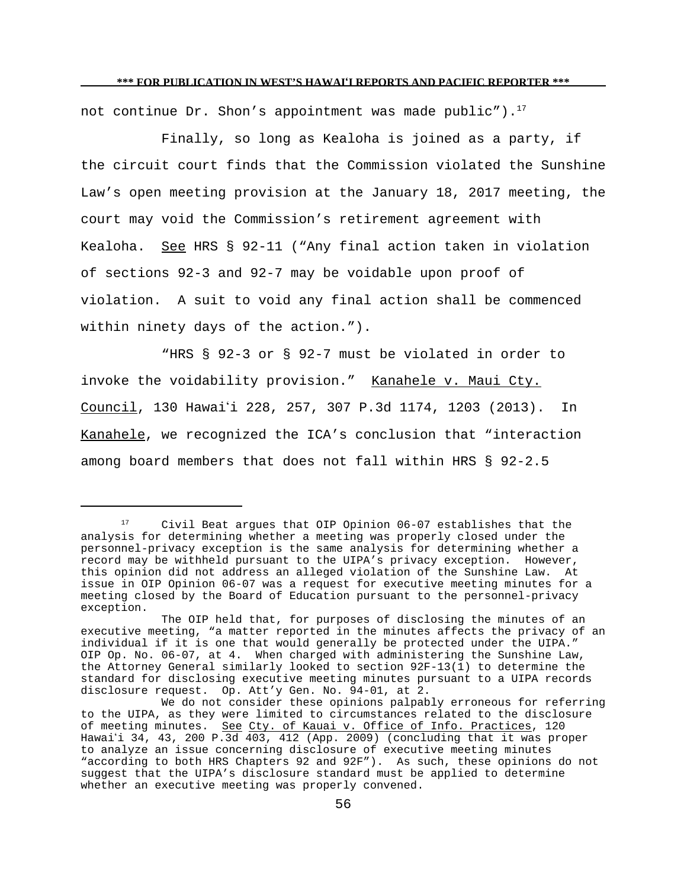not continue Dr. Shon's appointment was made public").<sup>17</sup>

Finally, so long as Kealoha is joined as a party, if the circuit court finds that the Commission violated the Sunshine Law's open meeting provision at the January 18, 2017 meeting, the court may void the Commission's retirement agreement with Kealoha. See HRS § 92-11 ("Any final action taken in violation of sections 92-3 and 92-7 may be voidable upon proof of violation. A suit to void any final action shall be commenced within ninety days of the action.").

"HRS § 92-3 or § 92-7 must be violated in order to invoke the voidability provision." Kanahele v. Maui Cty. Council, 130 Hawaii 228, 257, 307 P.3d 1174, 1203 (2013). In Kanahele, we recognized the ICA's conclusion that "interaction among board members that does not fall within HRS § 92-2.5

<sup>&</sup>lt;sup>17</sup> Civil Beat argues that OIP Opinion 06-07 establishes that the analysis for determining whether a meeting was properly closed under the personnel-privacy exception is the same analysis for determining whether a record may be withheld pursuant to the UIPA's privacy exception. However, this opinion did not address an alleged violation of the Sunshine Law. At issue in OIP Opinion 06-07 was a request for executive meeting minutes for a meeting closed by the Board of Education pursuant to the personnel-privacy exception.

The OIP held that, for purposes of disclosing the minutes of an executive meeting, "a matter reported in the minutes affects the privacy of an individual if it is one that would generally be protected under the UIPA." OIP Op. No. 06-07, at 4. When charged with administering the Sunshine Law, the Attorney General similarly looked to section 92F-13(1) to determine the standard for disclosing executive meeting minutes pursuant to a UIPA records disclosure request. Op. Att'y Gen. No. 94-01, at 2.

We do not consider these opinions palpably erroneous for referring to the UIPA, as they were limited to circumstances related to the disclosure of meeting minutes. See Cty. of Kauai v. Office of Info. Practices, 120 Hawai'i 34, 43, 200 P.3d 403, 412 (App. 2009) (concluding that it was proper to analyze an issue concerning disclosure of executive meeting minutes "according to both HRS Chapters 92 and 92F"). As such, these opinions do not suggest that the UIPA's disclosure standard must be applied to determine whether an executive meeting was properly convened.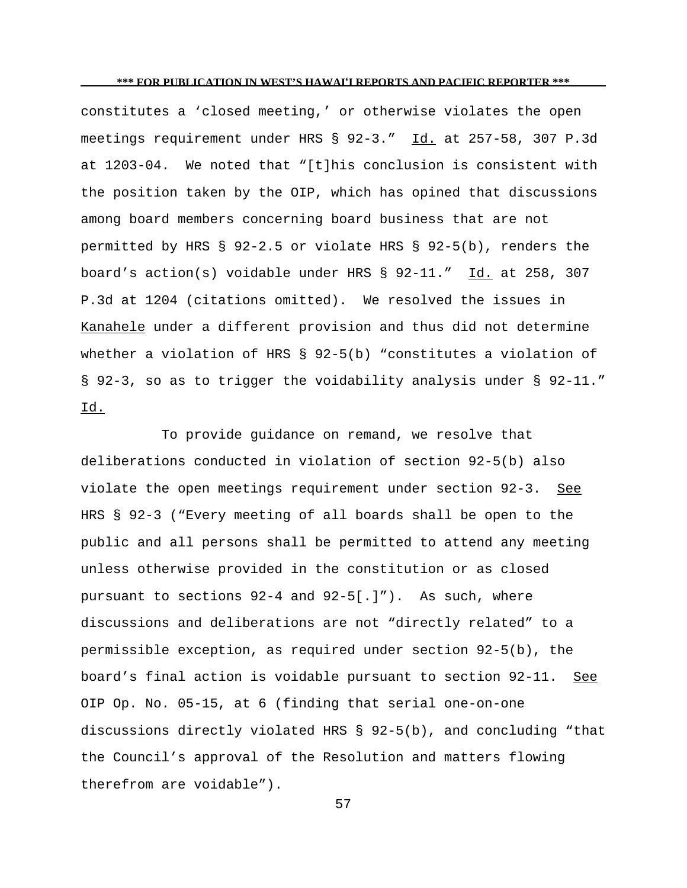constitutes a 'closed meeting,' or otherwise violates the open meetings requirement under HRS § 92-3." Id. at 257-58, 307 P.3d at 1203-04. We noted that "[t]his conclusion is consistent with the position taken by the OIP, which has opined that discussions among board members concerning board business that are not permitted by HRS § 92-2.5 or violate HRS § 92-5(b), renders the board's action(s) voidable under HRS § 92-11." Id. at 258, 307 P.3d at 1204 (citations omitted). We resolved the issues in Kanahele under a different provision and thus did not determine whether a violation of HRS § 92-5(b) "constitutes a violation of § 92-3, so as to trigger the voidability analysis under § 92-11." Id.

To provide guidance on remand, we resolve that deliberations conducted in violation of section 92-5(b) also violate the open meetings requirement under section 92-3. See HRS § 92-3 ("Every meeting of all boards shall be open to the public and all persons shall be permitted to attend any meeting unless otherwise provided in the constitution or as closed pursuant to sections  $92-4$  and  $92-5$ [.]"). As such, where discussions and deliberations are not "directly related" to a permissible exception, as required under section 92-5(b), the board's final action is voidable pursuant to section 92-11. See OIP Op. No. 05-15, at 6 (finding that serial one-on-one discussions directly violated HRS § 92-5(b), and concluding "that the Council's approval of the Resolution and matters flowing therefrom are voidable").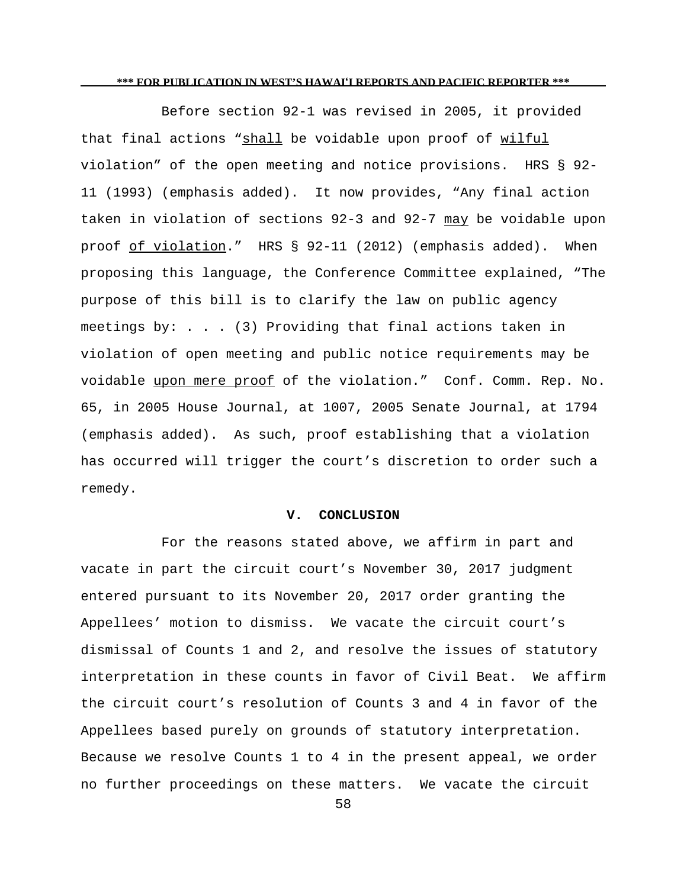Before section 92-1 was revised in 2005, it provided that final actions "shall be voidable upon proof of wilful violation" of the open meeting and notice provisions. HRS § 92- 11 (1993) (emphasis added). It now provides, "Any final action taken in violation of sections 92-3 and 92-7 may be voidable upon proof of violation." HRS § 92-11 (2012) (emphasis added). When proposing this language, the Conference Committee explained, "The purpose of this bill is to clarify the law on public agency meetings by: . . . (3) Providing that final actions taken in violation of open meeting and public notice requirements may be voidable upon mere proof of the violation." Conf. Comm. Rep. No. 65, in 2005 House Journal, at 1007, 2005 Senate Journal, at 1794 (emphasis added). As such, proof establishing that a violation has occurred will trigger the court's discretion to order such a remedy.

### **V. CONCLUSION**

For the reasons stated above, we affirm in part and vacate in part the circuit court's November 30, 2017 judgment entered pursuant to its November 20, 2017 order granting the Appellees' motion to dismiss. We vacate the circuit court's dismissal of Counts 1 and 2, and resolve the issues of statutory interpretation in these counts in favor of Civil Beat. We affirm the circuit court's resolution of Counts 3 and 4 in favor of the Appellees based purely on grounds of statutory interpretation. Because we resolve Counts 1 to 4 in the present appeal, we order no further proceedings on these matters. We vacate the circuit